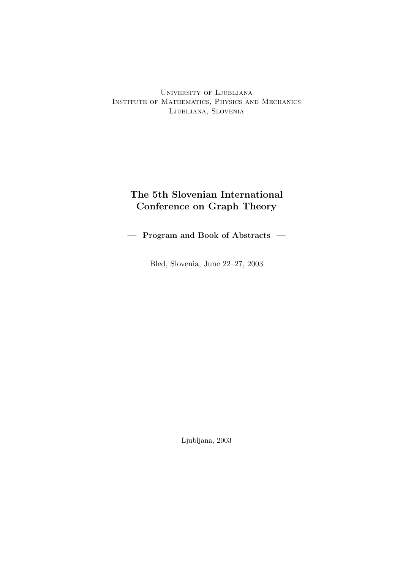University of Ljubljana Institute of Mathematics, Physics and Mechanics Ljubljana, Slovenia

## The 5th Slovenian International Conference on Graph Theory

— Program and Book of Abstracts —

Bled, Slovenia, June 22–27, 2003

Ljubljana, 2003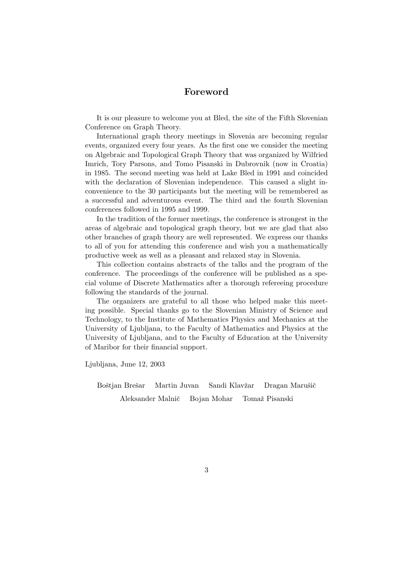### Foreword

It is our pleasure to welcome you at Bled, the site of the Fifth Slovenian Conference on Graph Theory.

International graph theory meetings in Slovenia are becoming regular events, organized every four years. As the first one we consider the meeting on Algebraic and Topological Graph Theory that was organized by Wilfried Imrich, Tory Parsons, and Tomo Pisanski in Dubrovnik (now in Croatia) in 1985. The second meeting was held at Lake Bled in 1991 and coincided with the declaration of Slovenian independence. This caused a slight inconvenience to the 30 participants but the meeting will be remembered as a successful and adventurous event. The third and the fourth Slovenian conferences followed in 1995 and 1999.

In the tradition of the former meetings, the conference is strongest in the areas of algebraic and topological graph theory, but we are glad that also other branches of graph theory are well represented. We express our thanks to all of you for attending this conference and wish you a mathematically productive week as well as a pleasant and relaxed stay in Slovenia.

This collection contains abstracts of the talks and the program of the conference. The proceedings of the conference will be published as a special volume of Discrete Mathematics after a thorough refereeing procedure following the standards of the journal.

The organizers are grateful to all those who helped make this meeting possible. Special thanks go to the Slovenian Ministry of Science and Technology, to the Institute of Mathematics Physics and Mechanics at the University of Ljubljana, to the Faculty of Mathematics and Physics at the University of Ljubljana, and to the Faculty of Education at the University of Maribor for their financial support.

Ljubljana, June 12, 2003

Boštjan Brešar Martin Juvan Sandi Klavžar Dragan Marušič

Aleksander Malnič Bojan Mohar Tomaž Pisanski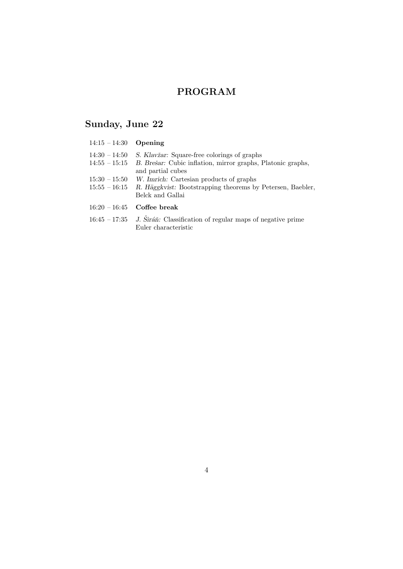## PROGRAM

# Sunday, June 22

| $14:15 - 14:30$ Opening            |                                                                                                                                           |
|------------------------------------|-------------------------------------------------------------------------------------------------------------------------------------------|
| $14:30 - 14:50$<br>$14:55 - 15:15$ | <i>S. Klavžar:</i> Square-free colorings of graphs<br>B. Brešar: Cubic inflation, mirror graphs, Platonic graphs,<br>and partial cubes    |
| $15:30 - 15:50$                    | W. Imrich: Cartesian products of graphs<br>$15:55 - 16:15$ R. Häggkvist: Bootstrapping theorems by Petersen, Baebler,<br>Belck and Gallai |
|                                    | $16:20 - 16:45$ Coffee break                                                                                                              |
|                                    | $16:45 - 17:35$ J. Sirán: Classification of regular maps of negative prime<br>Euler characteristic                                        |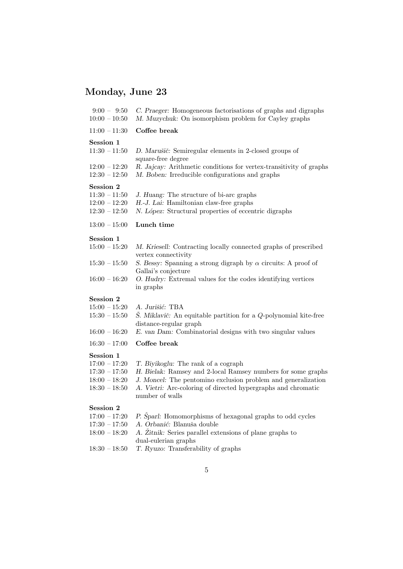# Monday, June 23

| $9:00 - 9:50$<br>$10:00 - 10:50$                                                      | C. Praeger: Homogeneous factorisations of graphs and digraphs<br>M. Muzychuk: On isomorphism problem for Cayley graphs                                                                                                                                   |  |  |  |  |  |
|---------------------------------------------------------------------------------------|----------------------------------------------------------------------------------------------------------------------------------------------------------------------------------------------------------------------------------------------------------|--|--|--|--|--|
| $11:00 - 11:30$                                                                       | Coffee break                                                                                                                                                                                                                                             |  |  |  |  |  |
| Session 1<br>$11:30 - 11:50$                                                          | D. Marušič: Semiregular elements in 2-closed groups of<br>square-free degree                                                                                                                                                                             |  |  |  |  |  |
| $12:00 - 12:20$<br>$12:30 - 12:50$                                                    | R. Jajcay: Arithmetic conditions for vertex-transitivity of graphs<br>M. Boben: Irreducible configurations and graphs                                                                                                                                    |  |  |  |  |  |
| Session 2<br>$11:30 - 11:50$<br>$12:00 - 12:20$<br>$12:30 - 12:50$                    | J. Huang: The structure of bi-arc graphs<br>H.-J. Lai: Hamiltonian claw-free graphs<br>N. López: Structural properties of eccentric digraphs                                                                                                             |  |  |  |  |  |
| $13:00 - 15:00$                                                                       | Lunch time                                                                                                                                                                                                                                               |  |  |  |  |  |
| Session 1<br>$15:00 - 15:20$                                                          | M. Kriesell: Contracting locally connected graphs of prescribed<br>vertex connectivity                                                                                                                                                                   |  |  |  |  |  |
| $15:30 - 15:50$                                                                       | S. Bessy: Spanning a strong digraph by $\alpha$ circuits: A proof of<br>Gallai's conjecture                                                                                                                                                              |  |  |  |  |  |
| $16:00 - 16:20$                                                                       | O. Hudry: Extremal values for the codes identifying vertices<br>in graphs                                                                                                                                                                                |  |  |  |  |  |
| <b>Session 2</b>                                                                      |                                                                                                                                                                                                                                                          |  |  |  |  |  |
| $15:00 - 15:20$<br>$15:30 - 15:50$                                                    | A. Jurišić: TBA<br>$\check{S}$ . Miklavič: An equitable partition for a Q-polynomial kite-free<br>distance-regular graph                                                                                                                                 |  |  |  |  |  |
| $16:00 - 16:20$                                                                       | E. van Dam: Combinatorial designs with two singular values                                                                                                                                                                                               |  |  |  |  |  |
| $16:30 - 17:00$                                                                       | Coffee break                                                                                                                                                                                                                                             |  |  |  |  |  |
| Session 1<br>$17:00 - 17:20$<br>$17:30 - 17:50$<br>$18:00 - 18:20$<br>$18:30 - 18:50$ | T. Biyikoglu: The rank of a cograph<br>H. Bielak: Ramsey and 2-local Ramsey numbers for some graphs<br>J. Moncel: The pentomino exclusion problem and generalization<br>A. Vietri: Arc-coloring of directed hypergraphs and chromatic<br>number of walls |  |  |  |  |  |
| Session 2<br>$17:00 - 17:20$<br>$17:30 - 17:50$<br>$18:00 - 18:20$                    | P. Šparl: Homomorphisms of hexagonal graphs to odd cycles<br>A. Orbanić: Blanuša double<br>A. Žitnik: Series parallel extensions of plane graphs to<br>dual-eulerian graphs                                                                              |  |  |  |  |  |

18:30 – 18:50 T. Ryuzo: Transferability of graphs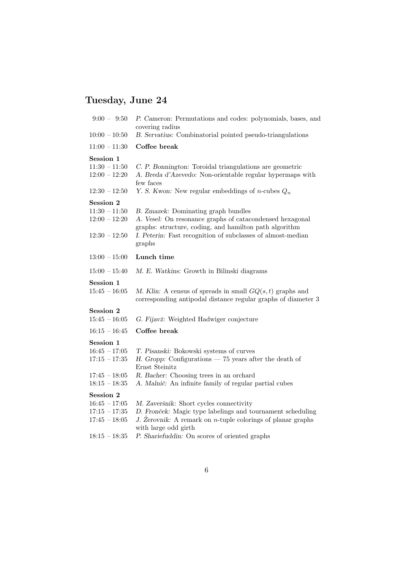# Tuesday, June 24

| $9:00 - 9:50$                                                                         | P. Cameron: Permutations and codes: polynomials, bases, and<br>covering radius                                                                                                                                                                   |
|---------------------------------------------------------------------------------------|--------------------------------------------------------------------------------------------------------------------------------------------------------------------------------------------------------------------------------------------------|
| $10:00 - 10:50$                                                                       | B. Servatius: Combinatorial pointed pseudo-triangulations                                                                                                                                                                                        |
| $11:00 - 11:30$                                                                       | Coffee break                                                                                                                                                                                                                                     |
| Session 1<br>$11:30 - 11:50$<br>$12:00 - 12:20$                                       | C. P. Bonnington: Toroidal triangulations are geometric<br>A. Breda d'Azevedo: Non-orientable regular hypermaps with<br>few faces                                                                                                                |
| $12:30 - 12:50$                                                                       | Y. S. Kwon: New regular embeddings of <i>n</i> -cubes $Q_n$                                                                                                                                                                                      |
| Session 2<br>$11:30 - 11:50$<br>$12:00 - 12:20$<br>$12:30 - 12:50$                    | B. Zmazek: Dominating graph bundles<br>A. Vesel: On resonance graphs of catacondensed hexagonal<br>graphs: structure, coding, and hamilton path algorithm<br>I. Peterin: Fast recognition of subclasses of almost-median<br>graphs               |
| $13:00 - 15:00$                                                                       | Lunch time                                                                                                                                                                                                                                       |
| $15:00 - 15:40$                                                                       | M. E. Watkins: Growth in Bilinski diagrams                                                                                                                                                                                                       |
| Session 1<br>$15:45 - 16:05$                                                          | M. Klin: A census of spreads in small $GQ(s,t)$ graphs and<br>corresponding antipodal distance regular graphs of diameter 3                                                                                                                      |
| Session 2<br>$15:45 - 16:05$                                                          | G. Fijavž: Weighted Hadwiger conjecture                                                                                                                                                                                                          |
| $16:15 - 16:45$                                                                       | Coffee break                                                                                                                                                                                                                                     |
| Session 1<br>$16:45 - 17:05$<br>$17:15 - 17:35$                                       | T. Pisanski: Bokowski systems of curves                                                                                                                                                                                                          |
| $17:45 - 18:05$                                                                       | H. Gropp: Configurations $-75$ years after the death of<br>Ernst Steinitz                                                                                                                                                                        |
| $18:15 - 18:35$                                                                       | R. Bacher: Choosing trees in an orchard<br>A. Malnič: An infinite family of regular partial cubes                                                                                                                                                |
| Session 2<br>$16:45 - 17:05$<br>$17:15 - 17:35$<br>$17:45 - 18:05$<br>$18:15 - 18:35$ | M. Zaveršnik: Short cycles connectivity<br>D. Fronček: Magic type labelings and tournament scheduling<br>J. Zerovnik: A remark on $n$ -tuple colorings of planar graphs<br>with large odd girth<br>P. Shariefuddin: On scores of oriented graphs |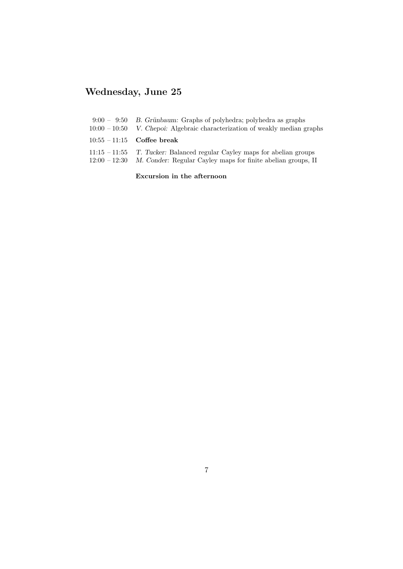# Wednesday, June 25

| $9:00 - 9:50$ B. Grünbaum: Graphs of polyhedra; polyhedra as graphs<br>$10:00-10:50$ V. Chepoi: Algebraic characterization of weakly median graphs       |
|----------------------------------------------------------------------------------------------------------------------------------------------------------|
| $10:55 - 11:15$ Coffee break                                                                                                                             |
| $11:15 - 11:55$ T. Tucker: Balanced regular Cayley maps for abelian groups<br>$12:00-12:30$ M. Conder: Regular Cayley maps for finite abelian groups, II |

Excursion in the afternoon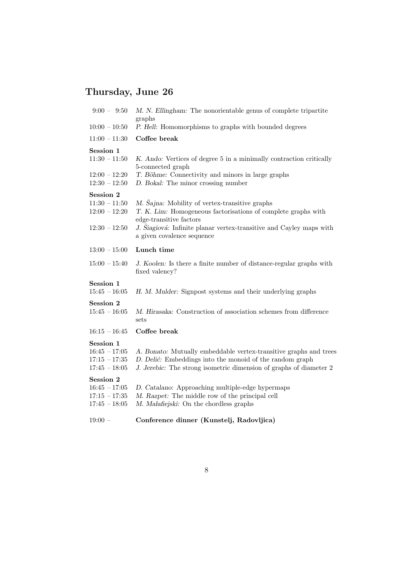# Thursday, June 26

| $9:00 - 9:50$                                                             | M. N. Ellingham: The nonorientable genus of complete tripartite<br>graphs                                                                                                                                                                       |
|---------------------------------------------------------------------------|-------------------------------------------------------------------------------------------------------------------------------------------------------------------------------------------------------------------------------------------------|
| $10:00 - 10:50$                                                           | P. Hell: Homomorphisms to graphs with bounded degrees                                                                                                                                                                                           |
| $11:00 - 11:30$                                                           | Coffee break                                                                                                                                                                                                                                    |
| Session 1<br>$11:30 - 11:50$                                              | K. Ando: Vertices of degree 5 in a minimally contraction critically<br>5-connected graph                                                                                                                                                        |
| $12:00 - 12:20$<br>$12:30 - 12:50$                                        | T. Böhme: Connectivity and minors in large graphs<br>D. Bokal: The minor crossing number                                                                                                                                                        |
| <b>Session 2</b><br>$11:30 - 11:50$<br>$12:00 - 12:20$<br>$12:30 - 12:50$ | M. Sajna: Mobility of vertex-transitive graphs<br>T. K. Lim: Homogeneous factorisations of complete graphs with<br>edge-transitive factors<br>J. Šiagiová: Infinite planar vertex-transitive and Cayley maps with<br>a given covalence sequence |
| $13:00 - 15:00$                                                           | Lunch time                                                                                                                                                                                                                                      |
| $15:00 - 15:40$                                                           | J. Koolen: Is there a finite number of distance-regular graphs with<br>fixed valency?                                                                                                                                                           |
| Session 1<br>$15:45 - 16:05$                                              | H. M. Mulder: Signpost systems and their underlying graphs                                                                                                                                                                                      |
| Session 2<br>$15:45 - 16:05$                                              | M. Hirasaka: Construction of association schemes from difference<br>sets                                                                                                                                                                        |
| $16:15 - 16:45$                                                           | Coffee break                                                                                                                                                                                                                                    |
| Session 1<br>$16:45 - 17:05$<br>$17:15 - 17:35$<br>$17:45 - 18:05$        | A. Bonato: Mutually embeddable vertex-transitive graphs and trees<br>D. Delić: Embeddings into the monoid of the random graph<br>J. Jerebic: The strong isometric dimension of graphs of diameter 2                                             |
| <b>Session 2</b><br>$16:45 - 17:05$<br>$17:15 - 17:35$<br>$17:45 - 18:05$ | D. Catalano: Approaching multiple-edge hypermaps<br>M. Razpet: The middle row of the principal cell<br>M. Małafiejski: On the chordless graphs                                                                                                  |
|                                                                           |                                                                                                                                                                                                                                                 |

### 19:00 – Conference dinner (Kunstelj, Radovljica)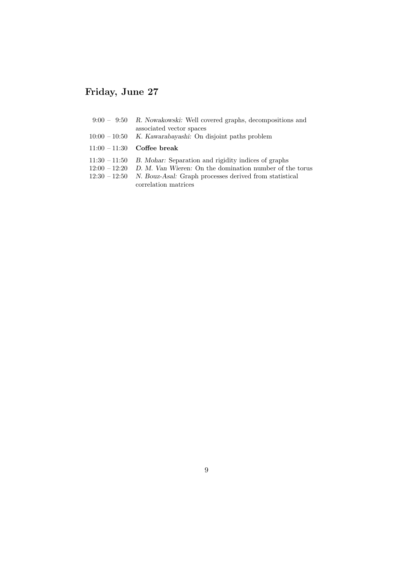# Friday, June 27

|                 | $9:00 - 9:50$ R. Nowakowski: Well covered graphs, decompositions and<br>associated vector spaces |
|-----------------|--------------------------------------------------------------------------------------------------|
|                 | $10:00 - 10:50$ K. Kawarabayashi: On disjoint paths problem                                      |
|                 | $11:00 - 11:30$ Coffee break                                                                     |
|                 | $11:30 - 11:50$ B. Mohar: Separation and rigidity indices of graphs                              |
| $12:00 - 12:20$ | D. M. Van Wieren: On the domination number of the torus                                          |
|                 | $12:30 - 12:50$ N. Bouz-Asal: Graph processes derived from statistical                           |

correlation matrices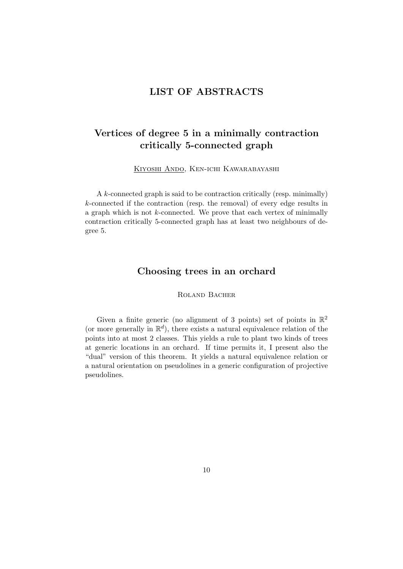### LIST OF ABSTRACTS

## Vertices of degree 5 in a minimally contraction critically 5-connected graph

Kiyoshi Ando, Ken-ichi Kawarabayashi

A k-connected graph is said to be contraction critically (resp. minimally) k-connected if the contraction (resp. the removal) of every edge results in a graph which is not  $k$ -connected. We prove that each vertex of minimally contraction critically 5-connected graph has at least two neighbours of degree 5.

### Choosing trees in an orchard

Roland Bacher

Given a finite generic (no alignment of 3 points) set of points in  $\mathbb{R}^2$ (or more generally in  $\mathbb{R}^d$ ), there exists a natural equivalence relation of the points into at most 2 classes. This yields a rule to plant two kinds of trees at generic locations in an orchard. If time permits it, I present also the "dual" version of this theorem. It yields a natural equivalence relation or a natural orientation on pseudolines in a generic configuration of projective pseudolines.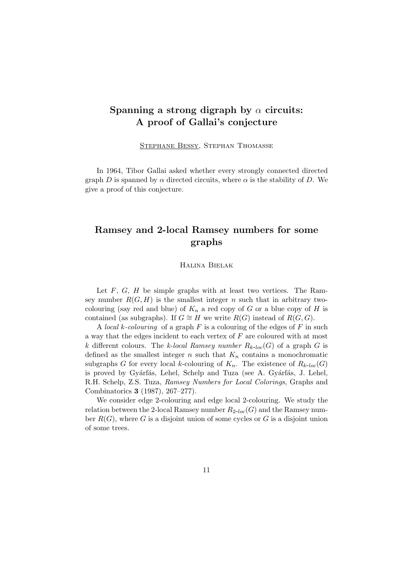### Spanning a strong digraph by  $\alpha$  circuits: A proof of Gallai's conjecture

Stephane Bessy, Stephan Thomasse

In 1964, Tibor Gallai asked whether every strongly connected directed graph D is spanned by  $\alpha$  directed circuits, where  $\alpha$  is the stability of D. We give a proof of this conjecture.

### Ramsey and 2-local Ramsey numbers for some graphs

Halina Bielak

Let  $F, G, H$  be simple graphs with at least two vertices. The Ramsey number  $R(G, H)$  is the smallest integer n such that in arbitrary twocolouring (say red and blue) of  $K_n$  a red copy of G or a blue copy of H is contained (as subgraphs). If  $G \cong H$  we write  $R(G)$  instead of  $R(G, G)$ .

A local k-colouring of a graph  $F$  is a colouring of the edges of  $F$  in such a way that the edges incident to each vertex of F are coloured with at most k different colours. The k-local Ramsey number  $R_{k-loc}(G)$  of a graph G is defined as the smallest integer n such that  $K_n$  contains a monochromatic subgraphs G for every local k-colouring of  $K_n$ . The existence of  $R_{k-loc}(G)$ is proved by Gyárfás, Lehel, Schelp and Tuza (see A. Gyárfás, J. Lehel, R.H. Schelp, Z.S. Tuza, Ramsey Numbers for Local Colorings, Graphs and Combinatorics 3 (1987), 267–277).

We consider edge 2-colouring and edge local 2-colouring. We study the relation between the 2-local Ramsey number  $R_{2-loc}(G)$  and the Ramsey number  $R(G)$ , where G is a disjoint union of some cycles or G is a disjoint union of some trees.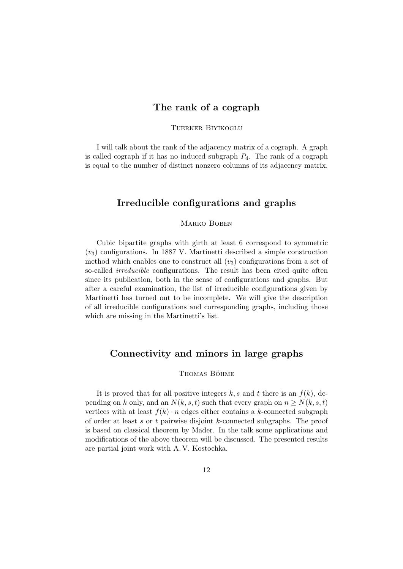### The rank of a cograph

#### Tuerker Biyikoglu

I will talk about the rank of the adjacency matrix of a cograph. A graph is called cograph if it has no induced subgraph  $P_4$ . The rank of a cograph is equal to the number of distinct nonzero columns of its adjacency matrix.

### Irreducible configurations and graphs

#### Marko Boben

Cubic bipartite graphs with girth at least 6 correspond to symmetric  $(v_3)$  configurations. In 1887 V. Martinetti described a simple construction method which enables one to construct all  $(v_3)$  configurations from a set of so-called *irreducible* configurations. The result has been cited quite often since its publication, both in the sense of configurations and graphs. But after a careful examination, the list of irreducible configurations given by Martinetti has turned out to be incomplete. We will give the description of all irreducible configurations and corresponding graphs, including those which are missing in the Martinetti's list.

#### Connectivity and minors in large graphs

#### THOMAS BÖHME

It is proved that for all positive integers k, s and t there is an  $f(k)$ , depending on k only, and an  $N(k, s, t)$  such that every graph on  $n \geq N(k, s, t)$ vertices with at least  $f(k) \cdot n$  edges either contains a k-connected subgraph of order at least  $s$  or  $t$  pairwise disjoint  $k$ -connected subgraphs. The proof is based on classical theorem by Mader. In the talk some applications and modifications of the above theorem will be discussed. The presented results are partial joint work with A. V. Kostochka.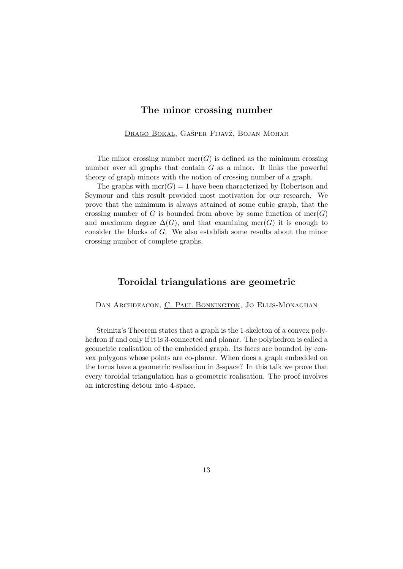#### The minor crossing number

DRAGO BOKAL, GAŠPER FIJAVŽ, BOJAN MOHAR

The minor crossing number  $\operatorname{mcr}(G)$  is defined as the minimum crossing number over all graphs that contain  $G$  as a minor. It links the powerful theory of graph minors with the notion of crossing number of a graph.

The graphs with  $mcr(G) = 1$  have been characterized by Robertson and Seymour and this result provided most motivation for our research. We prove that the minimum is always attained at some cubic graph, that the crossing number of G is bounded from above by some function of  $mcr(G)$ and maximum degree  $\Delta(G)$ , and that examining mcr(G) it is enough to consider the blocks of G. We also establish some results about the minor crossing number of complete graphs.

#### Toroidal triangulations are geometric

Dan Archdeacon, C. Paul Bonnington, Jo Ellis-Monaghan

Steinitz's Theorem states that a graph is the 1-skeleton of a convex polyhedron if and only if it is 3-connected and planar. The polyhedron is called a geometric realisation of the embedded graph. Its faces are bounded by convex polygons whose points are co-planar. When does a graph embedded on the torus have a geometric realisation in 3-space? In this talk we prove that every toroidal triangulation has a geometric realisation. The proof involves an interesting detour into 4-space.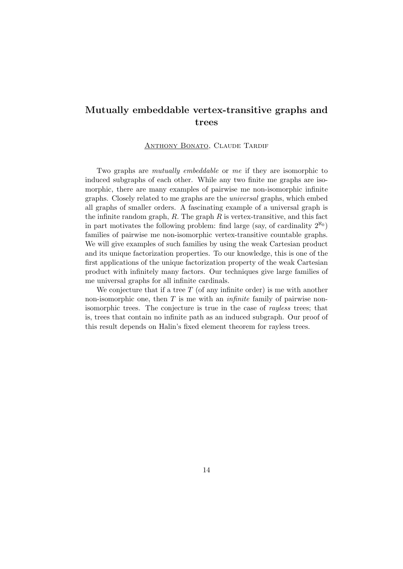## Mutually embeddable vertex-transitive graphs and trees

#### ANTHONY BONATO, CLAUDE TARDIF

Two graphs are mutually embeddable or me if they are isomorphic to induced subgraphs of each other. While any two finite me graphs are isomorphic, there are many examples of pairwise me non-isomorphic infinite graphs. Closely related to me graphs are the universal graphs, which embed all graphs of smaller orders. A fascinating example of a universal graph is the infinite random graph,  $R$ . The graph  $R$  is vertex-transitive, and this fact in part motivates the following problem: find large (say, of cardinality  $2^{\aleph_0}$ ) families of pairwise me non-isomorphic vertex-transitive countable graphs. We will give examples of such families by using the weak Cartesian product and its unique factorization properties. To our knowledge, this is one of the first applications of the unique factorization property of the weak Cartesian product with infinitely many factors. Our techniques give large families of me universal graphs for all infinite cardinals.

We conjecture that if a tree  $T$  (of any infinite order) is me with another non-isomorphic one, then  $T$  is me with an *infinite* family of pairwise nonisomorphic trees. The conjecture is true in the case of rayless trees; that is, trees that contain no infinite path as an induced subgraph. Our proof of this result depends on Halin's fixed element theorem for rayless trees.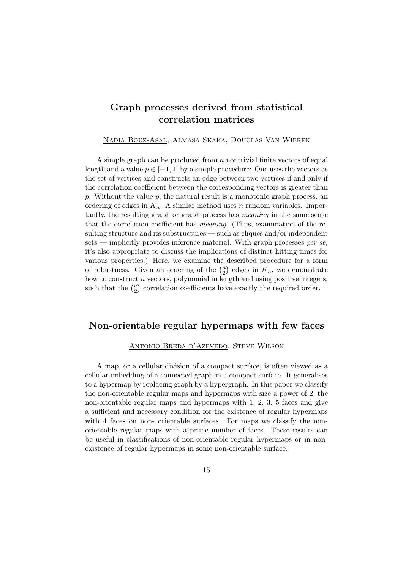## Graph processes derived from statistical correlation matrices

Nadia Bouz-Asal, Almasa Skaka, Douglas Van Wieren

A simple graph can be produced from  $n$  nontrivial finite vectors of equal length and a value  $p \in [-1, 1]$  by a simple procedure: One uses the vectors as the set of vertices and constructs an edge between two vertices if and only if the correlation coefficient between the corresponding vectors is greater than p. Without the value  $p$ , the natural result is a monotonic graph process, an ordering of edges in  $K_n$ . A similar method uses n random variables. Importantly, the resulting graph or graph process has meaning in the same sense that the correlation coefficient has meaning. (Thus, examination of the resulting structure and its substructures — such as cliques and/or independent sets — implicitly provides inference material. With graph processes per se, it's also appropriate to discuss the implications of distinct hitting times for various properties.) Here, we examine the described procedure for a form of robustness. Given an ordering of the  $\binom{n}{2}$  $n \choose 2$  edges in  $K_n$ , we demonstrate how to construct  $n$  vectors, polynomial in length and using positive integers, such that the  $\binom{n}{2}$  $n_2$ ) correlation coefficients have exactly the required order.

### Non-orientable regular hypermaps with few faces

#### Antonio Breda d'Azevedo, Steve Wilson

A map, or a cellular division of a compact surface, is often viewed as a cellular imbedding of a connected graph in a compact surface. It generalises to a hypermap by replacing graph by a hypergraph. In this paper we classify the non-orientable regular maps and hypermaps with size a power of 2, the non-orientable regular maps and hypermaps with 1, 2, 3, 5 faces and give a sufficient and necessary condition for the existence of regular hypermaps with 4 faces on non- orientable surfaces. For maps we classify the nonorientable regular maps with a prime number of faces. These results can be useful in classifications of non-orientable regular hypermaps or in nonexistence of regular hypermaps in some non-orientable surface.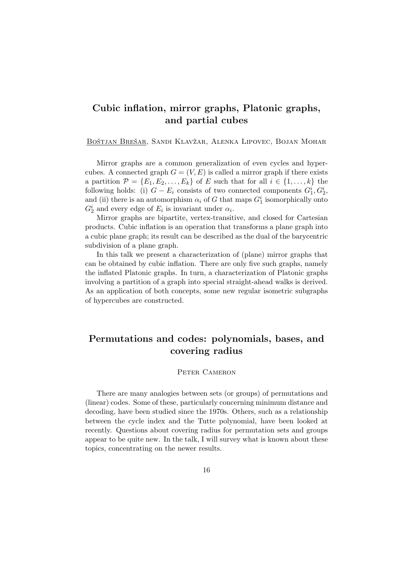## Cubic inflation, mirror graphs, Platonic graphs, and partial cubes

BOŠTJAN BREŠAR, SANDI KLAVŽAR, ALENKA LIPOVEC, BOJAN MOHAR

Mirror graphs are a common generalization of even cycles and hypercubes. A connected graph  $G = (V, E)$  is called a mirror graph if there exists a partition  $\mathcal{P} = \{E_1, E_2, \ldots, E_k\}$  of E such that for all  $i \in \{1, \ldots, k\}$  the following holds: (i)  $G - E_i$  consists of two connected components  $G_1^i, G_2^i$ , and (ii) there is an automorphism  $\alpha_i$  of G that maps  $G_1^i$  isomorphically onto  $G_2^i$  and every edge of  $E_i$  is invariant under  $\alpha_i$ .

Mirror graphs are bipartite, vertex-transitive, and closed for Cartesian products. Cubic inflation is an operation that transforms a plane graph into a cubic plane graph; its result can be described as the dual of the barycentric subdivision of a plane graph.

In this talk we present a characterization of (plane) mirror graphs that can be obtained by cubic inflation. There are only five such graphs, namely the inflated Platonic graphs. In turn, a characterization of Platonic graphs involving a partition of a graph into special straight-ahead walks is derived. As an application of both concepts, some new regular isometric subgraphs of hypercubes are constructed.

## Permutations and codes: polynomials, bases, and covering radius

#### PETER CAMERON

There are many analogies between sets (or groups) of permutations and (linear) codes. Some of these, particularly concerning minimum distance and decoding, have been studied since the 1970s. Others, such as a relationship between the cycle index and the Tutte polynomial, have been looked at recently. Questions about covering radius for permutation sets and groups appear to be quite new. In the talk, I will survey what is known about these topics, concentrating on the newer results.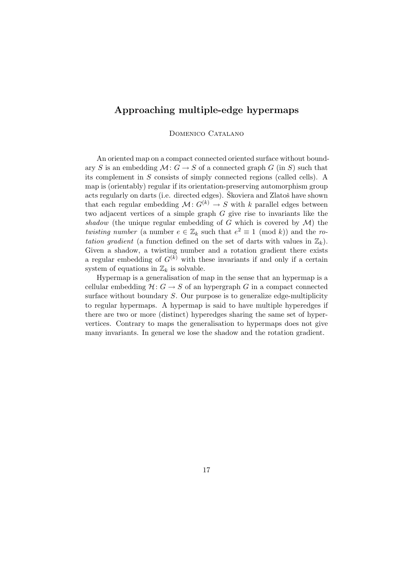### Approaching multiple-edge hypermaps

Domenico Catalano

An oriented map on a compact connected oriented surface without boundary S is an embedding  $\mathcal{M}: G \to S$  of a connected graph G (in S) such that its complement in S consists of simply connected regions (called cells). A map is (orientably) regular if its orientation-preserving automorphism group acts regularly on darts (i.e. directed edges). Škoviera and Zlatoš have shown that each regular embedding  $\mathcal{M}: G^{(k)} \to S$  with k parallel edges between two adjacent vertices of a simple graph G give rise to invariants like the shadow (the unique regular embedding of G which is covered by  $\mathcal{M}$ ) the twisting number (a number  $e \in \mathbb{Z}_k$  such that  $e^2 \equiv 1 \pmod{k}$ ) and the rotation gradient (a function defined on the set of darts with values in  $\mathbb{Z}_k$ ). Given a shadow, a twisting number and a rotation gradient there exists a regular embedding of  $G^{(k)}$  with these invariants if and only if a certain system of equations in  $\mathbb{Z}_k$  is solvable.

Hypermap is a generalisation of map in the sense that an hypermap is a cellular embedding  $\mathcal{H}: G \to S$  of an hypergraph G in a compact connected surface without boundary S. Our purpose is to generalize edge-multiplicity to regular hypermaps. A hypermap is said to have multiple hyperedges if there are two or more (distinct) hyperedges sharing the same set of hypervertices. Contrary to maps the generalisation to hypermaps does not give many invariants. In general we lose the shadow and the rotation gradient.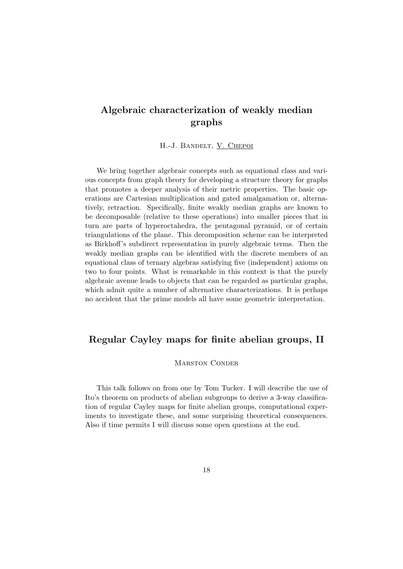## Algebraic characterization of weakly median graphs

H.-J. Bandelt, V. Chepoi

We bring together algebraic concepts such as equational class and various concepts from graph theory for developing a structure theory for graphs that promotes a deeper analysis of their metric properties. The basic operations are Cartesian multiplication and gated amalgamation or, alternatively, retraction. Specifically, finite weakly median graphs are known to be decomposable (relative to these operations) into smaller pieces that in turn are parts of hyperoctahedra, the pentagonal pyramid, or of certain triangulations of the plane. This decomposition scheme can be interpreted as Birkhoff's subdirect representation in purely algebraic terms. Then the weakly median graphs can be identified with the discrete members of an equational class of ternary algebras satisfying five (independent) axioms on two to four points. What is remarkable in this context is that the purely algebraic avenue leads to objects that can be regarded as particular graphs, which admit quite a number of alternative characterizations. It is perhaps no accident that the prime models all have some geometric interpretation.

### Regular Cayley maps for finite abelian groups, II

#### MARSTON CONDER

This talk follows on from one by Tom Tucker. I will describe the use of Ito's theorem on products of abelian subgroups to derive a 3-way classification of regular Cayley maps for finite abelian groups, computational experiments to investigate these, and some surprising theoretical consequences. Also if time permits I will discuss some open questions at the end.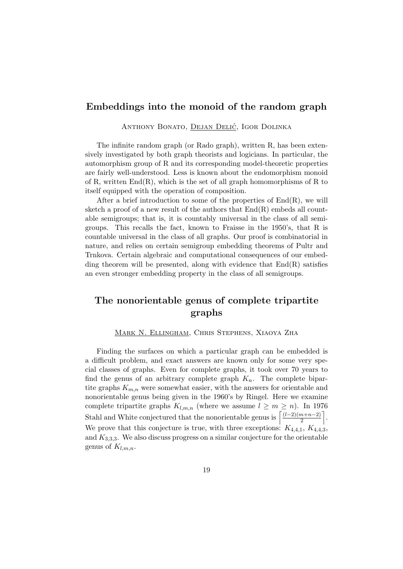### Embeddings into the monoid of the random graph

ANTHONY BONATO, DEJAN DELIĆ, IGOR DOLINKA

The infinite random graph (or Rado graph), written R, has been extensively investigated by both graph theorists and logicians. In particular, the automorphism group of R and its corresponding model-theoretic properties are fairly well-understood. Less is known about the endomorphism monoid of R, written  $End(R)$ , which is the set of all graph homomorphisms of R to itself equipped with the operation of composition.

After a brief introduction to some of the properties of  $End(R)$ , we will sketch a proof of a new result of the authors that  $End(R)$  embeds all countable semigroups; that is, it is countably universal in the class of all semigroups. This recalls the fact, known to Fraisse in the 1950's, that R is countable universal in the class of all graphs. Our proof is combinatorial in nature, and relies on certain semigroup embedding theorems of Pultr and Trnkova. Certain algebraic and computational consequences of our embedding theorem will be presented, along with evidence that  $End(R)$  satisfies an even stronger embedding property in the class of all semigroups.

## The nonorientable genus of complete tripartite graphs

Mark N. Ellingham, Chris Stephens, Xiaoya Zha

Finding the surfaces on which a particular graph can be embedded is a difficult problem, and exact answers are known only for some very special classes of graphs. Even for complete graphs, it took over 70 years to find the genus of an arbitrary complete graph  $K_n$ . The complete bipartite graphs  $K_{m,n}$  were somewhat easier, with the answers for orientable and nonorientable genus being given in the 1960's by Ringel. Here we examine complete tripartite graphs  $K_{l,m,n}$  (where we assume  $l \geq m \geq n$ ). In 1976 Stahl and White conjectured that the nonorientable genus is  $\left[ \frac{(l-2)(m+n-2)}{2} \right]$  $\frac{n+n-2)}{2}$ . We prove that this conjecture is true, with three exceptions:  $K_{4,4,1}, K_{4,4,3}$ , and  $K_{3,3,3}$ . We also discuss progress on a similar conjecture for the orientable genus of  $K_{l,m,n}$ .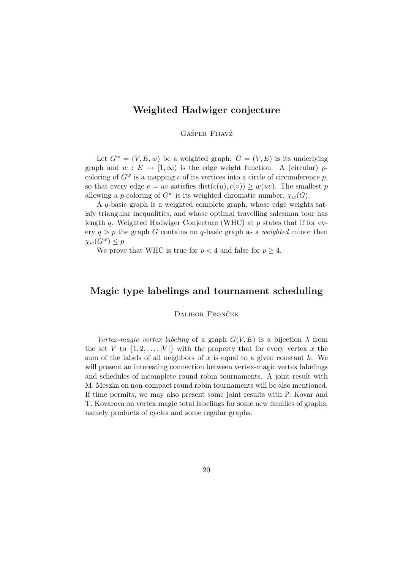### Weighted Hadwiger conjecture

#### GAŠPER FIJAVŽ

Let  $G^w = (V, E, w)$  be a weighted graph:  $G = (V, E)$  is its underlying graph and  $w : E \to [1,\infty)$  is the edge weight function. A (circular) pcoloring of  $G^w$  is a mapping c of its vertices into a circle of circumference p, so that every edge  $e = uv$  satisfies  $dist(c(u), c(v)) \geq w(uv)$ . The smallest p allowing a p-coloring of  $G^w$  is its weighted chromatic number,  $\chi_w(G)$ .

A q-basic graph is a weighted complete graph, whose edge weights satisfy triangular inequalities, and whose optimal travelling salesman tour has length q. Weighted Hadwiger Conjecture (WHC) at  $p$  states that if for every  $q > p$  the graph G contains no q-basic graph as a *weighted* minor then  $\chi_w(G^w) \leq p$ .

We prove that WHC is true for  $p < 4$  and false for  $p \geq 4$ .

#### Magic type labelings and tournament scheduling

#### DALIBOR FRONČEK

Vertex-magic vertex labeling of a graph  $G(V, E)$  is a bijection  $\lambda$  from the set V to  $\{1, 2, \ldots, |V|\}$  with the property that for every vertex x the sum of the labels of all neighbors of x is equal to a given constant  $k$ . We will present an interesting connection between vertex-magic vertex labelings and schedules of incomplete round robin tournaments. A joint result with M. Meszka on non-compact round robin tournaments will be also mentioned. If time permits, we may also present some joint results with P. Kovar and T. Kovarova on vertex magic total labelings for some new families of graphs, namely products of cycles and some regular graphs.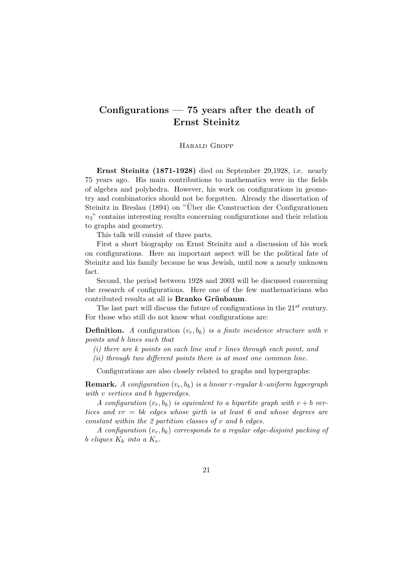## Configurations  $-75$  years after the death of Ernst Steinitz

#### Harald Gropp

Ernst Steinitz (1871-1928) died on September 29,1928, i.e. nearly 75 years ago. His main contributions to mathematics were in the fields of algebra and polyhedra. However, his work on configurations in geometry and combinatorics should not be forgotten. Already the dissertation of Steinitz in Breslau (1894) on "Über die Construction der Configurationen  $n<sub>3</sub>$ " contains interesting results concerning configurations and their relation to graphs and geometry.

This talk will consist of three parts.

First a short biography on Ernst Steinitz and a discussion of his work on configurations. Here an important aspect will be the political fate of Steinitz and his family because he was Jewish, until now a nearly unknown fact.

Second, the period between 1928 and 2003 will be discussed concerning the research of configurations. Here one of the few mathematicians who contributed results at all is Branko Grünbaum.

The last part will discuss the future of configurations in the  $21^{st}$  century. For those who still do not know what configurations are:

**Definition.** A configuration  $(v_r, b_k)$  is a finite incidence structure with v points and b lines such that

(i) there are k points on each line and r lines through each point, and

(ii) through two different points there is at most one common line.

Configurations are also closely related to graphs and hypergraphs:

**Remark.** A configuration  $(v_r, b_k)$  is a linear r-regular k-uniform hypergraph with v vertices and b hyperedges.

A configuration  $(v_r, b_k)$  is equivalent to a bipartite graph with  $v + b$  vertices and  $vr = bk$  edges whose girth is at least 6 and whose degrees are constant within the 2 partition classes of v and b edges.

A configuration  $(v_r, b_k)$  corresponds to a regular edge-disjoint packing of b cliques  $K_k$  into a  $K_v$ .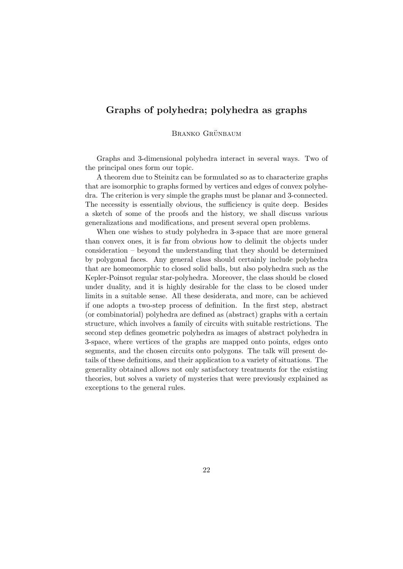### Graphs of polyhedra; polyhedra as graphs

#### BRANKO GRÜNBAUM

Graphs and 3-dimensional polyhedra interact in several ways. Two of the principal ones form our topic.

A theorem due to Steinitz can be formulated so as to characterize graphs that are isomorphic to graphs formed by vertices and edges of convex polyhedra. The criterion is very simple the graphs must be planar and 3-connected. The necessity is essentially obvious, the sufficiency is quite deep. Besides a sketch of some of the proofs and the history, we shall discuss various generalizations and modifications, and present several open problems.

When one wishes to study polyhedra in 3-space that are more general than convex ones, it is far from obvious how to delimit the objects under consideration – beyond the understanding that they should be determined by polygonal faces. Any general class should certainly include polyhedra that are homeomorphic to closed solid balls, but also polyhedra such as the Kepler-Poinsot regular star-polyhedra. Moreover, the class should be closed under duality, and it is highly desirable for the class to be closed under limits in a suitable sense. All these desiderata, and more, can be achieved if one adopts a two-step process of definition. In the first step, abstract (or combinatorial) polyhedra are defined as (abstract) graphs with a certain structure, which involves a family of circuits with suitable restrictions. The second step defines geometric polyhedra as images of abstract polyhedra in 3-space, where vertices of the graphs are mapped onto points, edges onto segments, and the chosen circuits onto polygons. The talk will present details of these definitions, and their application to a variety of situations. The generality obtained allows not only satisfactory treatments for the existing theories, but solves a variety of mysteries that were previously explained as exceptions to the general rules.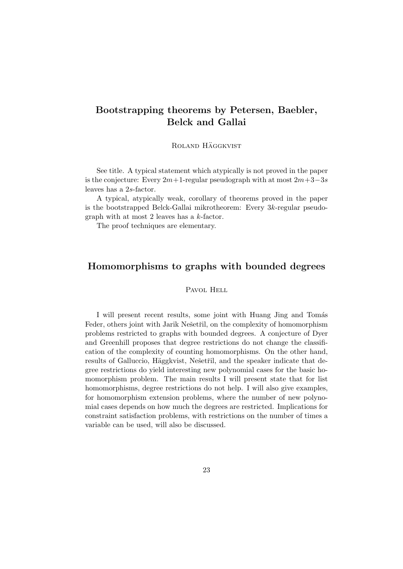## Bootstrapping theorems by Petersen, Baebler, Belck and Gallai

ROLAND HÄGGKVIST

See title. A typical statement which atypically is not proved in the paper is the conjecture: Every  $2m+1$ -regular pseudograph with at most  $2m+3-3s$ leaves has a 2s-factor.

A typical, atypically weak, corollary of theorems proved in the paper is the bootstrapped Belck-Gallai mikrotheorem: Every 3k-regular pseudograph with at most 2 leaves has a k-factor.

The proof techniques are elementary.

### Homomorphisms to graphs with bounded degrees

#### PAVOL HELL

I will present recent results, some joint with Huang Jing and Tomás Feder, others joint with Jarik Nešetřil, on the complexity of homomorphism problems restricted to graphs with bounded degrees. A conjecture of Dyer and Greenhill proposes that degree restrictions do not change the classification of the complexity of counting homomorphisms. On the other hand, results of Galluccio, Häggkvist, Nešetřil, and the speaker indicate that degree restrictions do yield interesting new polynomial cases for the basic homomorphism problem. The main results I will present state that for list homomorphisms, degree restrictions do not help. I will also give examples, for homomorphism extension problems, where the number of new polynomial cases depends on how much the degrees are restricted. Implications for constraint satisfaction problems, with restrictions on the number of times a variable can be used, will also be discussed.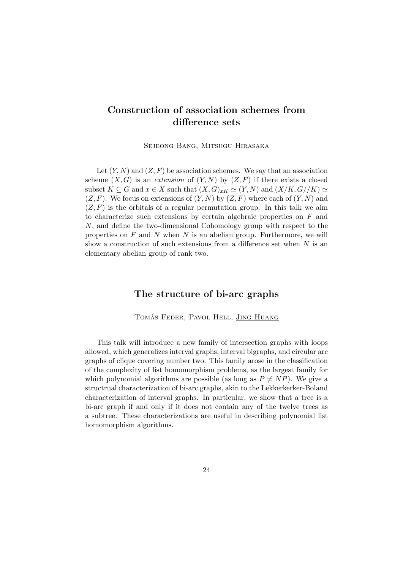## Construction of association schemes from difference sets

Sejeong Bang, Mitsugu Hirasaka

Let  $(Y, N)$  and  $(Z, F)$  be association schemes. We say that an association scheme  $(X, G)$  is an extension of  $(Y, N)$  by  $(Z, F)$  if there exists a closed subset  $K \subseteq G$  and  $x \in X$  such that  $(X, G)_{xK} \simeq (Y, N)$  and  $(X/K, G//K) \simeq$  $(Z, F)$ . We focus on extensions of  $(Y, N)$  by  $(Z, F)$  where each of  $(Y, N)$  and  $(Z, F)$  is the orbitals of a regular permutation group. In this talk we aim to characterize such extensions by certain algebraic properties on  $F$  and N, and define the two-dimensional Cohomology group with respect to the properties on  $F$  and  $N$  when  $N$  is an abelian group. Furthermore, we will show a construction of such extensions from a difference set when  $N$  is an elementary abelian group of rank two.

### The structure of bi-arc graphs

TOMÁS FEDER, PAVOL HELL, JING HUANG

This talk will introduce a new family of intersection graphs with loops allowed, which generalizes interval graphs, interval bigraphs, and circular arc graphs of clique covering number two. This family arose in the classification of the complexity of list homomorphism problems, as the largest family for which polynomial algorithms are possible (as long as  $P \neq NP$ ). We give a structrual characterization of bi-arc graphs, akin to the Lekkerkerker-Boland characterization of interval graphs. In particular, we show that a tree is a bi-arc graph if and only if it does not contain any of the twelve trees as a subtree. These characterizations are useful in describing polynomial list homomorphism algorithms.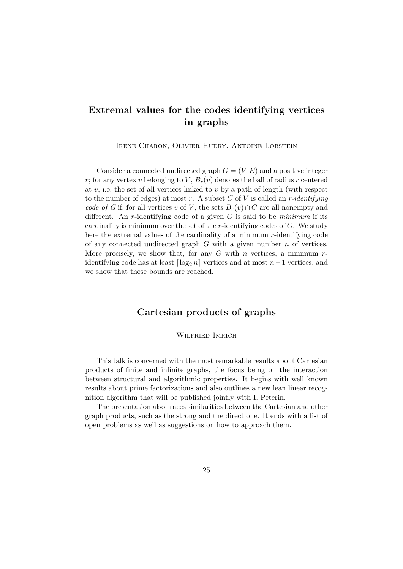## Extremal values for the codes identifying vertices in graphs

Irene Charon, Olivier Hudry, Antoine Lobstein

Consider a connected undirected graph  $G = (V, E)$  and a positive integer r; for any vertex v belonging to V,  $B_r(v)$  denotes the ball of radius r centered at v, i.e. the set of all vertices linked to v by a path of length (with respect to the number of edges) at most r. A subset C of V is called an r-identifying code of G if, for all vertices v of V, the sets  $B_r(v) \cap C$  are all nonempty and different. An r-identifying code of a given  $G$  is said to be *minimum* if its cardinality is minimum over the set of the r-identifying codes of  $G$ . We study here the extremal values of the cardinality of a minimum r-identifying code of any connected undirected graph  $G$  with a given number  $n$  of vertices. More precisely, we show that, for any  $G$  with n vertices, a minimum  $r$ identifying code has at least  $\lceil \log_2 n \rceil$  vertices and at most n−1 vertices, and we show that these bounds are reached.

### Cartesian products of graphs

#### Wilfried Imrich

This talk is concerned with the most remarkable results about Cartesian products of finite and infinite graphs, the focus being on the interaction between structural and algorithmic properties. It begins with well known results about prime factorizations and also outlines a new lean linear recognition algorithm that will be published jointly with I. Peterin.

The presentation also traces similarities between the Cartesian and other graph products, such as the strong and the direct one. It ends with a list of open problems as well as suggestions on how to approach them.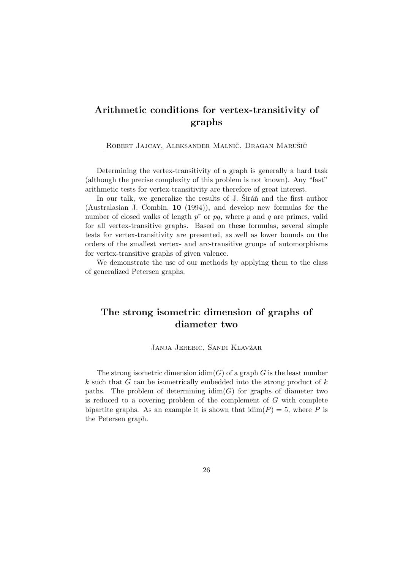## Arithmetic conditions for vertex-transitivity of graphs

ROBERT JAJCAY, ALEKSANDER MALNIČ, DRAGAN MARUŠIČ

Determining the vertex-transitivity of a graph is generally a hard task (although the precise complexity of this problem is not known). Any "fast" arithmetic tests for vertex-transitivity are therefore of great interest.

In our talk, we generalize the results of  $J$ . Sirán and the first author (Australasian J. Combin. 10 (1994)), and develop new formulas for the number of closed walks of length  $p^r$  or  $pq$ , where p and q are primes, valid for all vertex-transitive graphs. Based on these formulas, several simple tests for vertex-transitivity are presented, as well as lower bounds on the orders of the smallest vertex- and arc-transitive groups of automorphisms for vertex-transitive graphs of given valence.

We demonstrate the use of our methods by applying them to the class of generalized Petersen graphs.

### The strong isometric dimension of graphs of diameter two

#### JANJA JEREBIC, SANDI KLAVŽAR

The strong isometric dimension  $\dim(G)$  of a graph G is the least number  $k$  such that G can be isometrically embedded into the strong product of  $k$ paths. The problem of determining  $\dim(G)$  for graphs of diameter two is reduced to a covering problem of the complement of G with complete bipartite graphs. As an example it is shown that  $\dim(P) = 5$ , where P is the Petersen graph.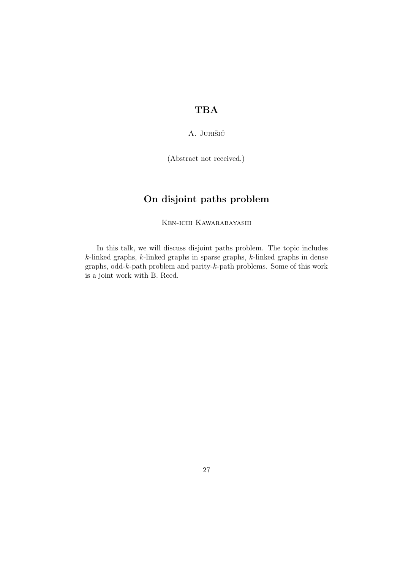## TBA

#### A. JURIŠIĆ

(Abstract not received.)

## On disjoint paths problem

Ken-ichi Kawarabayashi

In this talk, we will discuss disjoint paths problem. The topic includes k-linked graphs, k-linked graphs in sparse graphs, k-linked graphs in dense graphs, odd-k-path problem and parity-k-path problems. Some of this work is a joint work with B. Reed.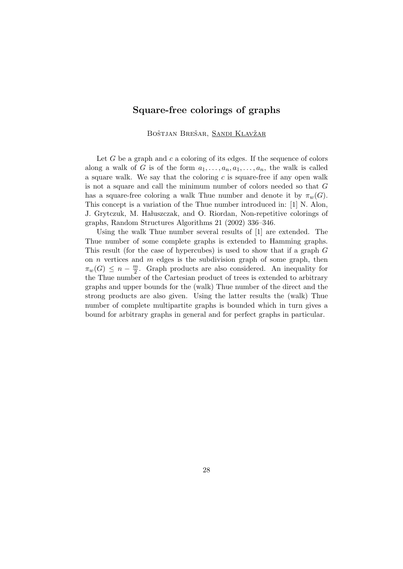### Square-free colorings of graphs

BOŠTJAN BREŠAR, SANDI KLAVŽAR

Let  $G$  be a graph and  $c$  a coloring of its edges. If the sequence of colors along a walk of G is of the form  $a_1, \ldots, a_n, a_1, \ldots, a_n$ , the walk is called a square walk. We say that the coloring  $c$  is square-free if any open walk is not a square and call the minimum number of colors needed so that G has a square-free coloring a walk Thue number and denote it by  $\pi_w(G)$ . This concept is a variation of the Thue number introduced in: [1] N. Alon, J. Grytczuk, M. Hałuszczak, and O. Riordan, Non-repetitive colorings of graphs, Random Structures Algorithms 21 (2002) 336–346.

Using the walk Thue number several results of [1] are extended. The Thue number of some complete graphs is extended to Hamming graphs. This result (for the case of hypercubes) is used to show that if a graph G on  $n$  vertices and  $m$  edges is the subdivision graph of some graph, then  $\pi_w(G) \leq n - \frac{m}{2}$  $\frac{m}{2}$ . Graph products are also considered. An inequality for the Thue number of the Cartesian product of trees is extended to arbitrary graphs and upper bounds for the (walk) Thue number of the direct and the strong products are also given. Using the latter results the (walk) Thue number of complete multipartite graphs is bounded which in turn gives a bound for arbitrary graphs in general and for perfect graphs in particular.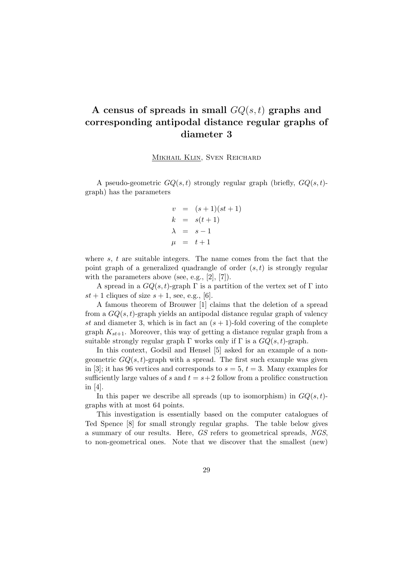## A census of spreads in small  $GQ(s,t)$  graphs and corresponding antipodal distance regular graphs of diameter 3

MIKHAIL KLIN, SVEN REICHARD

A pseudo-geometric  $GQ(s,t)$  strongly regular graph (briefly,  $GQ(s,t)$ graph) has the parameters

$$
v = (s+1)(st+1)
$$
  
\n
$$
k = s(t+1)
$$
  
\n
$$
\lambda = s-1
$$
  
\n
$$
\mu = t+1
$$

where  $s, t$  are suitable integers. The name comes from the fact that the point graph of a generalized quadrangle of order  $(s, t)$  is strongly regular with the parameters above (see, e.g., [2], [7]).

A spread in a  $GQ(s,t)$ -graph  $\Gamma$  is a partition of the vertex set of  $\Gamma$  into  $st + 1$  cliques of size  $s + 1$ , see, e.g., [6].

A famous theorem of Brouwer [1] claims that the deletion of a spread from a  $GQ(s, t)$ -graph yields an antipodal distance regular graph of valency st and diameter 3, which is in fact an  $(s + 1)$ -fold covering of the complete graph  $K_{st+1}$ . Moreover, this way of getting a distance regular graph from a suitable strongly regular graph  $\Gamma$  works only if  $\Gamma$  is a  $GQ(s, t)$ -graph.

In this context, Godsil and Hensel [5] asked for an example of a nongeometric  $GQ(s, t)$ -graph with a spread. The first such example was given in [3]; it has 96 vertices and corresponds to  $s = 5$ ,  $t = 3$ . Many examples for sufficiently large values of s and  $t = s + 2$  follow from a prolifice construction in [4].

In this paper we describe all spreads (up to isomorphism) in  $GQ(s,t)$ graphs with at most 64 points.

This investigation is essentially based on the computer catalogues of Ted Spence [8] for small strongly regular graphs. The table below gives a summary of our results. Here, GS refers to geometrical spreads, NGS, to non-geometrical ones. Note that we discover that the smallest (new)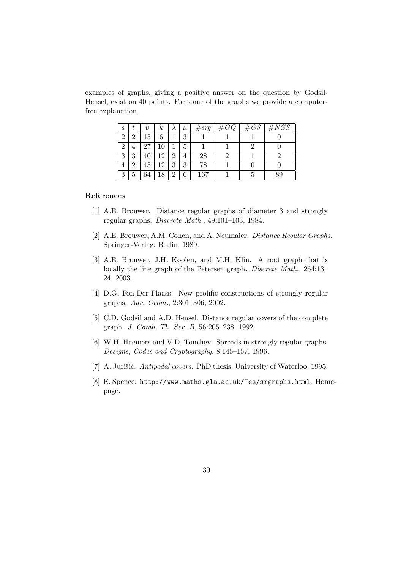examples of graphs, giving a positive answer on the question by Godsil-Hensel, exist on 40 points. For some of the graphs we provide a computerfree explanation.

| S |        |    | κ  |                | $\mu$ | $\#srg$ | $\#GQ$ | $\#GS$ | $\#NGS$ |
|---|--------|----|----|----------------|-------|---------|--------|--------|---------|
|   |        | 15 |    |                | 3     |         |        |        |         |
|   |        |    |    |                | 5     |         |        |        |         |
| റ | റ<br>U |    | റ  | 2              |       | 28      |        |        |         |
|   |        | 45 | 12 | 3              | 3     | 78      |        |        |         |
| 9 |        | 64 | 18 | $\overline{2}$ | 6     | 167     |        |        |         |

#### References

- [1] A.E. Brouwer. Distance regular graphs of diameter 3 and strongly regular graphs. Discrete Math., 49:101–103, 1984.
- [2] A.E. Brouwer, A.M. Cohen, and A. Neumaier. Distance Regular Graphs. Springer-Verlag, Berlin, 1989.
- [3] A.E. Brouwer, J.H. Koolen, and M.H. Klin. A root graph that is locally the line graph of the Petersen graph. *Discrete Math.*, 264:13– 24, 2003.
- [4] D.G. Fon-Der-Flaass. New prolific constructions of strongly regular graphs. Adv. Geom., 2:301–306, 2002.
- [5] C.D. Godsil and A.D. Hensel. Distance regular covers of the complete graph. J. Comb. Th. Ser. B, 56:205–238, 1992.
- [6] W.H. Haemers and V.D. Tonchev. Spreads in strongly regular graphs. Designs, Codes and Cryptography, 8:145–157, 1996.
- [7] A. Jurišić. Antipodal covers. PhD thesis, University of Waterloo, 1995.
- [8] E. Spence. http://www.maths.gla.ac.uk/~es/srgraphs.html. Homepage.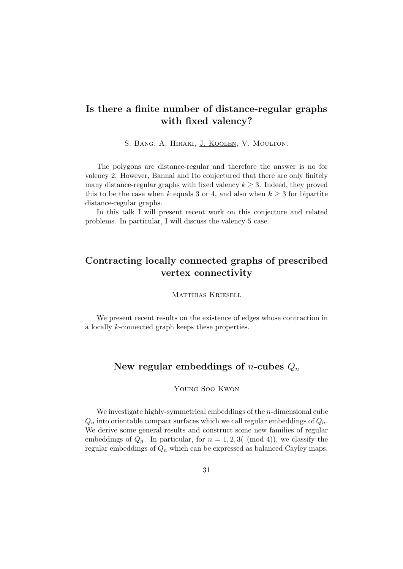## Is there a finite number of distance-regular graphs with fixed valency?

S. BANG, A. HIRAKI, J. KOOLEN, V. MOULTON.

The polygons are distance-regular and therefore the answer is no for valency 2. However, Bannai and Ito conjectured that there are only finitely many distance-regular graphs with fixed valency  $k \geq 3$ . Indeed, they proved this to be the case when k equals 3 or 4, and also when  $k \geq 3$  for bipartite distance-regular graphs.

In this talk I will present recent work on this conjecture and related problems. In particular, I will discuss the valency 5 case.

## Contracting locally connected graphs of prescribed vertex connectivity

Matthias Kriesell

We present recent results on the existence of edges whose contraction in a locally k-connected graph keeps these properties.

### New regular embeddings of *n*-cubes  $Q_n$

#### Young Soo Kwon

We investigate highly-symmetrical embeddings of the  $n$ -dimensional cube  $Q_n$  into orientable compact surfaces which we call regular embeddings of  $Q_n$ . We derive some general results and construct some new families of regular embeddings of  $Q_n$ . In particular, for  $n = 1, 2, 3$  (mod 4)), we classify the regular embeddings of  $Q_n$  which can be expressed as balanced Cayley maps.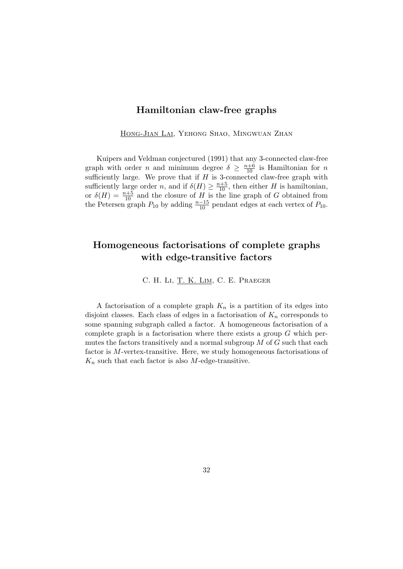#### Hamiltonian claw-free graphs

Hong-Jian Lai, Yehong Shao, Mingwuan Zhan

Kuipers and Veldman conjectured (1991) that any 3-connected claw-free graph with order *n* and minimum degree  $\delta \geq \frac{n+6}{10}$  is Hamiltonian for *n* sufficiently large. We prove that if  $H$  is 3-connected claw-free graph with sufficiently large order n, and if  $\delta(H) \geq \frac{n+5}{10}$ , then either H is hamiltonian, or  $\delta(H) = \frac{n+5}{10}$  and the closure of H is the line graph of G obtained from the Petersen graph  $P_{10}$  by adding  $\frac{n-15}{10}$  pendant edges at each vertex of  $P_{10}$ .

## Homogeneous factorisations of complete graphs with edge-transitive factors

C. H. Li, T. K. Lim, C. E. Praeger

A factorisation of a complete graph  $K_n$  is a partition of its edges into disjoint classes. Each class of edges in a factorisation of  $K_n$  corresponds to some spanning subgraph called a factor. A homogeneous factorisation of a complete graph is a factorisation where there exists a group  $G$  which permutes the factors transitively and a normal subgroup  $M$  of  $G$  such that each factor is M-vertex-transitive. Here, we study homogeneous factorisations of  $K_n$  such that each factor is also M-edge-transitive.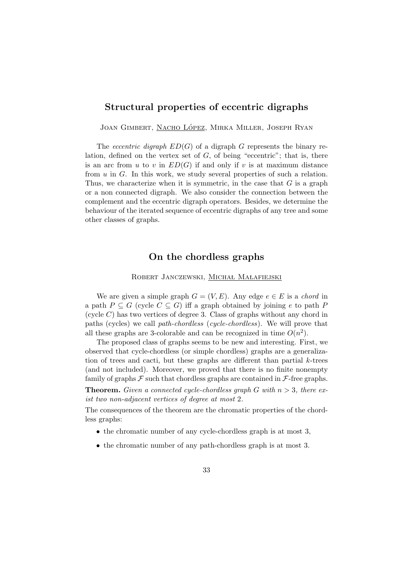### Structural properties of eccentric digraphs

JOAN GIMBERT, NACHO LÓPEZ, MIRKA MILLER, JOSEPH RYAN

The *eccentric digraph*  $ED(G)$  of a digraph G represents the binary relation, defined on the vertex set of  $G$ , of being "eccentric"; that is, there is an arc from u to v in  $ED(G)$  if and only if v is at maximum distance from  $u$  in  $G$ . In this work, we study several properties of such a relation. Thus, we characterize when it is symmetric, in the case that  $G$  is a graph or a non connected digraph. We also consider the connection between the complement and the eccentric digraph operators. Besides, we determine the behaviour of the iterated sequence of eccentric digraphs of any tree and some other classes of graphs.

### On the chordless graphs

ROBERT JANCZEWSKI, MICHAŁ MAŁAFIEJSKI

We are given a simple graph  $G = (V, E)$ . Any edge  $e \in E$  is a *chord* in a path  $P \subseteq G$  (cycle  $C \subseteq G$ ) iff a graph obtained by joining e to path P (cycle  $C$ ) has two vertices of degree 3. Class of graphs without any chord in paths (cycles) we call path-chordless (cycle-chordless). We will prove that all these graphs are 3-colorable and can be recognized in time  $O(n^2)$ .

The proposed class of graphs seems to be new and interesting. First, we observed that cycle-chordless (or simple chordless) graphs are a generalization of trees and cacti, but these graphs are different than partial  $k$ -trees (and not included). Moreover, we proved that there is no finite nonempty family of graphs  $\mathcal F$  such that chordless graphs are contained in  $\mathcal F$ -free graphs.

**Theorem.** Given a connected cycle-chordless graph G with  $n > 3$ , there exist two non-adjacent vertices of degree at most 2.

The consequences of the theorem are the chromatic properties of the chordless graphs:

- the chromatic number of any cycle-chordless graph is at most 3,
- the chromatic number of any path-chordless graph is at most 3.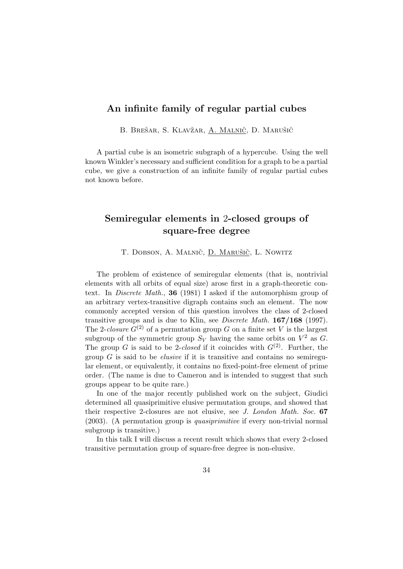### An infinite family of regular partial cubes

B. BREŠAR, S. KLAVŽAR, A. MALNIČ, D. MARUŠIČ

A partial cube is an isometric subgraph of a hypercube. Using the well known Winkler's necessary and sufficient condition for a graph to be a partial cube, we give a construction of an infinite family of regular partial cubes not known before.

### Semiregular elements in 2-closed groups of square-free degree

T. DOBSON, A. MALNIČ, D. MARUŠIČ, L. NOWITZ

The problem of existence of semiregular elements (that is, nontrivial elements with all orbits of equal size) arose first in a graph-theoretic context. In Discrete Math., 36 (1981) I asked if the automorphism group of an arbitrary vertex-transitive digraph contains such an element. The now commonly accepted version of this question involves the class of 2-closed transitive groups and is due to Klin, see Discrete Math. 167/168 (1997). The 2-closure  $G^{(2)}$  of a permutation group G on a finite set V is the largest subgroup of the symmetric group  $S_V$  having the same orbits on  $V^2$  as G. The group G is said to be 2-closed if it coincides with  $G^{(2)}$ . Further, the group  $G$  is said to be *elusive* if it is transitive and contains no semiregular element, or equivalently, it contains no fixed-point-free element of prime order. (The name is due to Cameron and is intended to suggest that such groups appear to be quite rare.)

In one of the major recently published work on the subject, Giudici determined all quasiprimitive elusive permutation groups, and showed that their respective 2-closures are not elusive, see J. London Math. Soc. 67 (2003). (A permutation group is quasiprimitive if every non-trivial normal subgroup is transitive.)

In this talk I will discuss a recent result which shows that every 2-closed transitive permutation group of square-free degree is non-elusive.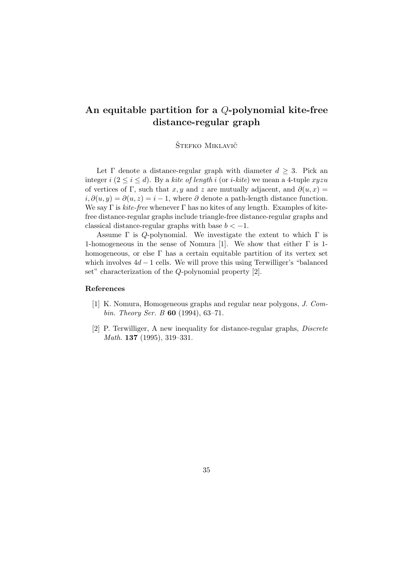## An equitable partition for a Q-polynomial kite-free distance-regular graph

ŠTEFKO MIKLAVIČ

Let  $\Gamma$  denote a distance-regular graph with diameter  $d \geq 3$ . Pick an integer  $i$  ( $2 \le i \le d$ ). By a kite of length i (or *i-kite*) we mean a 4-tuple xyzu of vertices of Γ, such that x, y and z are mutually adjacent, and  $\partial(u, x) =$  $i, \partial(u, y) = \partial(u, z) = i - 1$ , where  $\partial$  denote a path-length distance function. We say  $\Gamma$  is *kite-free* whenever  $\Gamma$  has no kites of any length. Examples of kitefree distance-regular graphs include triangle-free distance-regular graphs and classical distance-regular graphs with base  $b < -1$ .

Assume  $\Gamma$  is Q-polynomial. We investigate the extent to which  $\Gamma$  is 1-homogeneous in the sense of Nomura [1]. We show that either  $\Gamma$  is 1homogeneous, or else  $\Gamma$  has a certain equitable partition of its vertex set which involves  $4d - 1$  cells. We will prove this using Terwilliger's "balanced" set" characterization of the Q-polynomial property [2].

#### References

- [1] K. Nomura, Homogeneous graphs and regular near polygons, J. Combin. Theory Ser. B **60** (1994), 63-71.
- [2] P. Terwilliger, A new inequality for distance-regular graphs, Discrete Math. 137 (1995), 319–331.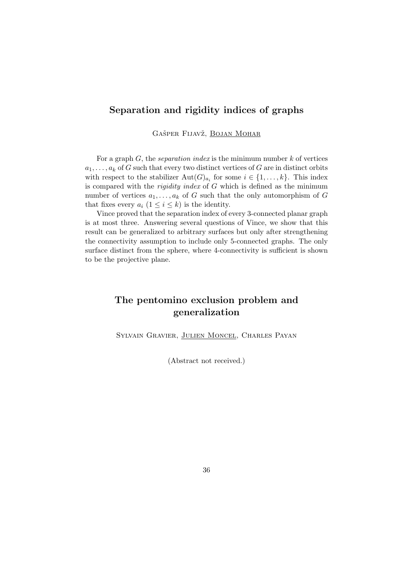### Separation and rigidity indices of graphs

GAŠPER FIJAVŽ, BOJAN MOHAR

For a graph  $G$ , the *separation index* is the minimum number  $k$  of vertices  $a_1, \ldots, a_k$  of G such that every two distinct vertices of G are in distinct orbits with respect to the stabilizer  $\text{Aut}(G)_{a_i}$  for some  $i \in \{1, ..., k\}$ . This index is compared with the *rigidity index* of  $G$  which is defined as the minimum number of vertices  $a_1, \ldots, a_k$  of G such that the only automorphism of G that fixes every  $a_i$   $(1 \leq i \leq k)$  is the identity.

Vince proved that the separation index of every 3-connected planar graph is at most three. Answering several questions of Vince, we show that this result can be generalized to arbitrary surfaces but only after strengthening the connectivity assumption to include only 5-connected graphs. The only surface distinct from the sphere, where 4-connectivity is sufficient is shown to be the projective plane.

## The pentomino exclusion problem and generalization

Sylvain Gravier, Julien Moncel, Charles Payan

(Abstract not received.)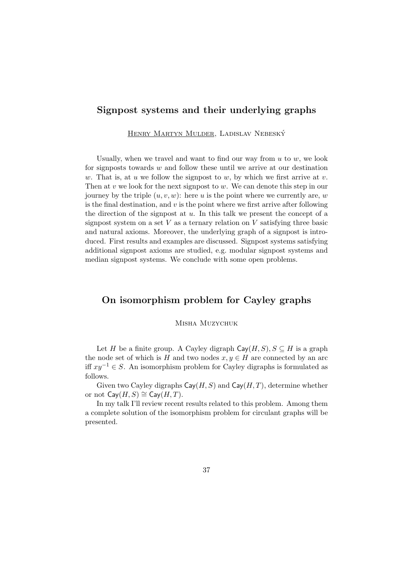#### Signpost systems and their underlying graphs

Henry Martyn Mulder, Ladislav Nebesky´

Usually, when we travel and want to find our way from  $u$  to  $w$ , we look for signposts towards  $w$  and follow these until we arrive at our destination w. That is, at u we follow the signpost to w, by which we first arrive at v. Then at v we look for the next signpost to w. We can denote this step in our journey by the triple  $(u, v, w)$ : here u is the point where we currently are, w is the final destination, and  $v$  is the point where we first arrive after following the direction of the signpost at  $u$ . In this talk we present the concept of a signpost system on a set  $V$  as a ternary relation on  $V$  satisfying three basic and natural axioms. Moreover, the underlying graph of a signpost is introduced. First results and examples are discussed. Signpost systems satisfying additional signpost axioms are studied, e.g. modular signpost systems and median signpost systems. We conclude with some open problems.

### On isomorphism problem for Cayley graphs

#### Misha Muzychuk

Let H be a finite group. A Cayley digraph  $\text{Cay}(H, S), S \subseteq H$  is a graph the node set of which is H and two nodes  $x, y \in H$  are connected by an arc iff  $xy^{-1} \in S$ . An isomorphism problem for Cayley digraphs is formulated as follows.

Given two Cayley digraphs  $\textsf{Cay}(H, S)$  and  $\textsf{Cay}(H, T)$ , determine whether or not  $\mathsf{Cay}(H, S) \cong \mathsf{Cay}(H, T)$ .

In my talk I'll review recent results related to this problem. Among them a complete solution of the isomorphism problem for circulant graphs will be presented.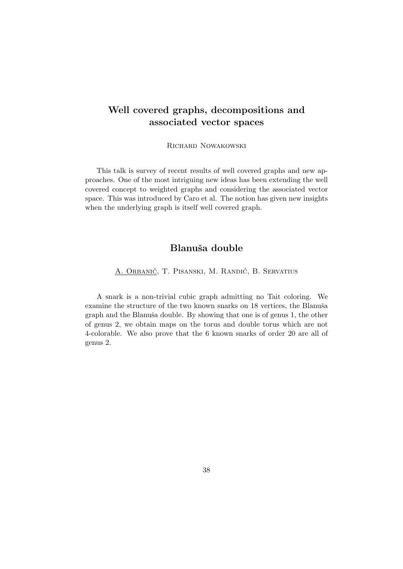## Well covered graphs, decompositions and associated vector spaces

Richard Nowakowski

This talk is survey of recent results of well covered graphs and new approaches. One of the most intriguing new ideas has been extending the well covered concept to weighted graphs and considering the associated vector space. This was introduced by Caro et al. The notion has given new insights when the underlying graph is itself well covered graph.

### Blanuša double

A. Orbanić, T. Pisanski, M. Randić, B. Servatius

A snark is a non-trivial cubic graph admitting no Tait coloring. We examine the structure of the two known snarks on 18 vertices, the Blanuša graph and the Blanuša double. By showing that one is of genus 1, the other of genus 2, we obtain maps on the torus and double torus which are not 4-colorable. We also prove that the 6 known snarks of order 20 are all of genus 2.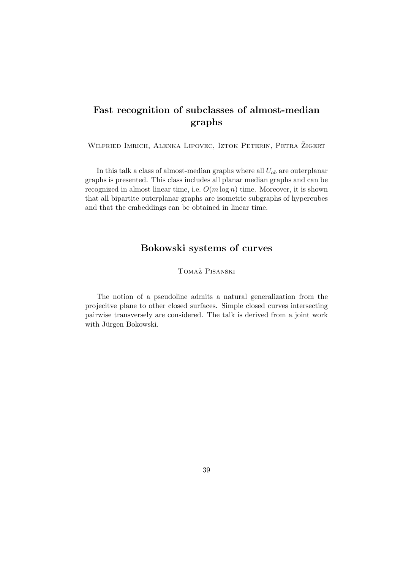## Fast recognition of subclasses of almost-median graphs

WILFRIED IMRICH, ALENKA LIPOVEC, **IZTOK PETERIN**, PETRA ŽIGERT

In this talk a class of almost-median graphs where all  $U_{ab}$  are outerplanar graphs is presented. This class includes all planar median graphs and can be recognized in almost linear time, i.e.  $O(m \log n)$  time. Moreover, it is shown that all bipartite outerplanar graphs are isometric subgraphs of hypercubes and that the embeddings can be obtained in linear time.

### Bokowski systems of curves

TOMAŽ PISANSKI

The notion of a pseudoline admits a natural generalization from the projecitve plane to other closed surfaces. Simple closed curves intersecting pairwise transversely are considered. The talk is derived from a joint work with Jürgen Bokowski.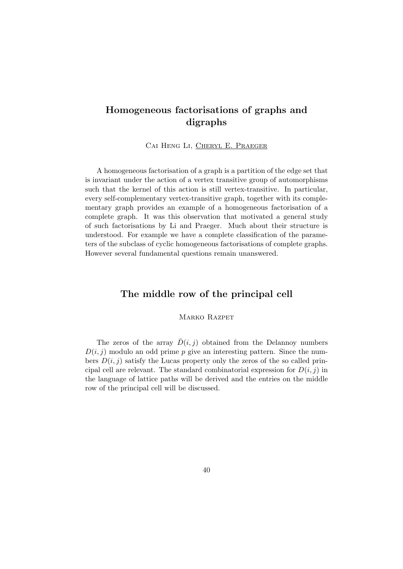## Homogeneous factorisations of graphs and digraphs

Cai Heng Li, Cheryl E. Praeger

A homogeneous factorisation of a graph is a partition of the edge set that is invariant under the action of a vertex transitive group of automorphisms such that the kernel of this action is still vertex-transitive. In particular, every self-complementary vertex-transitive graph, together with its complementary graph provides an example of a homogeneous factorisation of a complete graph. It was this observation that motivated a general study of such factorisations by Li and Praeger. Much about their structure is understood. For example we have a complete classification of the parameters of the subclass of cyclic homogeneous factorisations of complete graphs. However several fundamental questions remain unanswered.

### The middle row of the principal cell

MARKO RAZPET

The zeros of the array  $\bar{D}(i, j)$  obtained from the Delannoy numbers  $D(i, j)$  modulo an odd prime p give an interesting pattern. Since the numbers  $D(i, j)$  satisfy the Lucas property only the zeros of the so called principal cell are relevant. The standard combinatorial expression for  $D(i, j)$  in the language of lattice paths will be derived and the entries on the middle row of the principal cell will be discussed.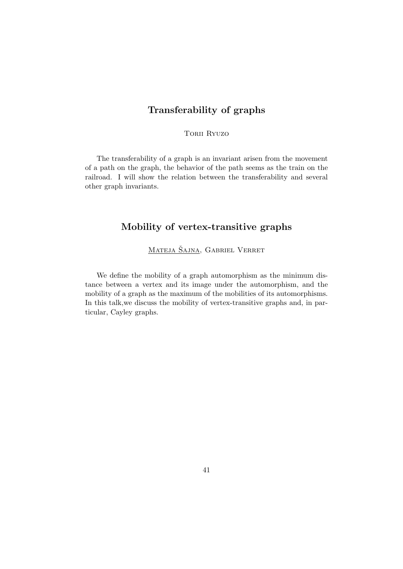### Transferability of graphs

TORII RYUZO

The transferability of a graph is an invariant arisen from the movement of a path on the graph, the behavior of the path seems as the train on the railroad. I will show the relation between the transferability and several other graph invariants.

## Mobility of vertex-transitive graphs

MATEJA ŠAJNA, GABRIEL VERRET

We define the mobility of a graph automorphism as the minimum distance between a vertex and its image under the automorphism, and the mobility of a graph as the maximum of the mobilities of its automorphisms. In this talk,we discuss the mobility of vertex-transitive graphs and, in particular, Cayley graphs.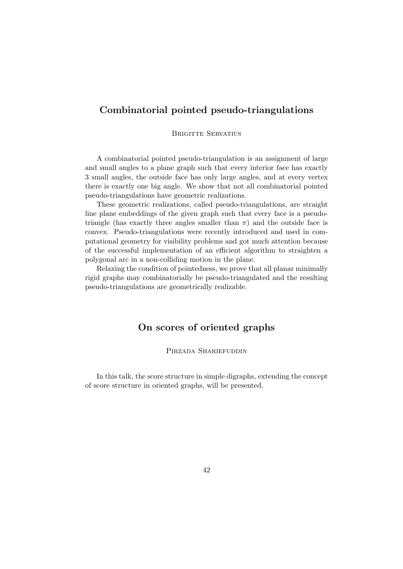### Combinatorial pointed pseudo-triangulations

#### BRIGITTE SERVATIUS

A combinatorial pointed pseudo-triangulation is an assignment of large and small angles to a plane graph such that every interior face has exactly 3 small angles, the outside face has only large angles, and at every vertex there is exactly one big angle. We show that not all combinatorial pointed pseudo-triangulations have geometric realizations.

These geometric realizations, called pseudo-triangulations, are straight line plane embeddings of the given graph such that every face is a pseudotriangle (has exactly three angles smaller than  $\pi$ ) and the outside face is convex. Pseudo-triangulations were recently introduced and used in computational geometry for visibility problems and got much attention because of the successful implementation of an efficient algorithm to straighten a polygonal arc in a non-colliding motion in the plane.

Relaxing the condition of pointedness, we prove that all planar minimally rigid graphs may combinatorially be pseudo-triangulated and the resulting pseudo-triangulations are geometrically realizable.

### On scores of oriented graphs

#### Pirzada Shariefuddin

In this talk, the score structure in simple digraphs, extending the concept of score structure in oriented graphs, will be presented.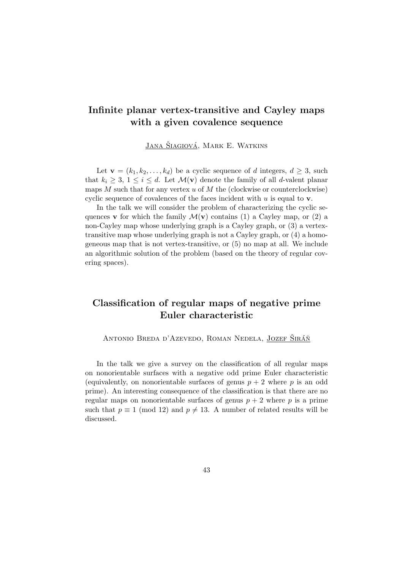### Infinite planar vertex-transitive and Cayley maps with a given covalence sequence

JANA ŠIAGIOVÁ, MARK E. WATKINS

Let  $\mathbf{v} = (k_1, k_2, \dots, k_d)$  be a cyclic sequence of d integers,  $d \geq 3$ , such that  $k_i \geq 3, 1 \leq i \leq d$ . Let  $\mathcal{M}(\mathbf{v})$  denote the family of all d-valent planar maps  $M$  such that for any vertex  $u$  of  $M$  the (clockwise or counterclockwise) cyclic sequence of covalences of the faces incident with  $u$  is equal to  $v$ .

In the talk we will consider the problem of characterizing the cyclic sequences **v** for which the family  $\mathcal{M}(\mathbf{v})$  contains (1) a Cayley map, or (2) a non-Cayley map whose underlying graph is a Cayley graph, or (3) a vertextransitive map whose underlying graph is not a Cayley graph, or (4) a homogeneous map that is not vertex-transitive, or (5) no map at all. We include an algorithmic solution of the problem (based on the theory of regular covering spaces).

## Classification of regular maps of negative prime Euler characteristic

ANTONIO BREDA D'AZEVEDO, ROMAN NEDELA, JOZEF SIRÁÑ

In the talk we give a survey on the classification of all regular maps on nonorientable surfaces with a negative odd prime Euler characteristic (equivalently, on nonorientable surfaces of genus  $p + 2$  where p is an odd prime). An interesting consequence of the classification is that there are no regular maps on nonorientable surfaces of genus  $p + 2$  where p is a prime such that  $p \equiv 1 \pmod{12}$  and  $p \neq 13$ . A number of related results will be discussed.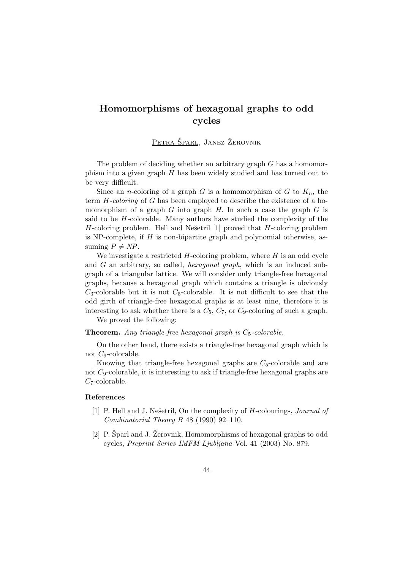## Homomorphisms of hexagonal graphs to odd cycles

PETRA ŠPARL, JANEZ ŽEROVNIK

The problem of deciding whether an arbitrary graph G has a homomorphism into a given graph  $H$  has been widely studied and has turned out to be very difficult.

Since an *n*-coloring of a graph G is a homomorphism of G to  $K_n$ , the term H-coloring of G has been employed to describe the existence of a homomorphism of a graph  $G$  into graph  $H$ . In such a case the graph  $G$  is said to be  $H$ -colorable. Many authors have studied the complexity of the  $H$ -coloring problem. Hell and Nešetril [1] proved that  $H$ -coloring problem is NP-complete, if  $H$  is non-bipartite graph and polynomial otherwise, assuming  $P \neq NP$ .

We investigate a restricted  $H$ -coloring problem, where  $H$  is an odd cycle and G an arbitrary, so called, hexagonal graph, which is an induced subgraph of a triangular lattice. We will consider only triangle-free hexagonal graphs, because a hexagonal graph which contains a triangle is obviously  $C_3$ -colorable but it is not  $C_5$ -colorable. It is not difficult to see that the odd girth of triangle-free hexagonal graphs is at least nine, therefore it is interesting to ask whether there is a  $C_5$ ,  $C_7$ , or  $C_9$ -coloring of such a graph.

We proved the following:

**Theorem.** Any triangle-free hexagonal graph is  $C_5$ -colorable.

On the other hand, there exists a triangle-free hexagonal graph which is not C9-colorable.

Knowing that triangle-free hexagonal graphs are  $C<sub>5</sub>$ -colorable and are not C9-colorable, it is interesting to ask if triangle-free hexagonal graphs are C7-colorable.

#### References

- [1] P. Hell and J. Nešetril, On the complexity of H-colourings, *Journal of* Combinatorial Theory B 48 (1990) 92–110.
- [2] P. Sparl and J. Žerovnik, Homomorphisms of hexagonal graphs to odd cycles, Preprint Series IMFM Ljubljana Vol. 41 (2003) No. 879.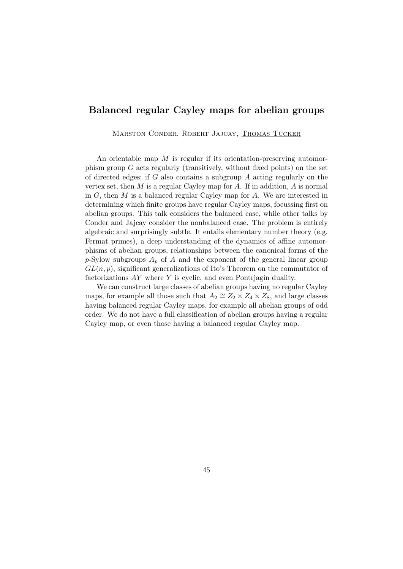### Balanced regular Cayley maps for abelian groups

Marston Conder, Robert Jajcay, Thomas Tucker

An orientable map  $M$  is regular if its orientation-preserving automorphism group  $G$  acts regularly (transitively, without fixed points) on the set of directed edges; if G also contains a subgroup  $A$  acting regularly on the vertex set, then  $M$  is a regular Cayley map for  $A$ . If in addition,  $A$  is normal in  $G$ , then  $M$  is a balanced regular Cayley map for  $A$ . We are interested in determining which finite groups have regular Cayley maps, focussing first on abelian groups. This talk considers the balanced case, while other talks by Conder and Jajcay consider the nonbalanced case. The problem is entirely algebraic and surprisingly subtle. It entails elementary number theory (e.g. Fermat primes), a deep understanding of the dynamics of affine automorphisms of abelian groups, relationships between the canonical forms of the p-Sylow subgroups  $A_p$  of A and the exponent of the general linear group  $GL(n, p)$ , significant generalizations of Ito's Theorem on the commutator of factorizations AY where Y is cyclic, and even Pontrjagin duality.

We can construct large classes of abelian groups having no regular Cayley maps, for example all those such that  $A_2 \cong Z_2 \times Z_4 \times Z_8$ , and large classes having balanced regular Cayley maps, for example all abelian groups of odd order. We do not have a full classification of abelian groups having a regular Cayley map, or even those having a balanced regular Cayley map.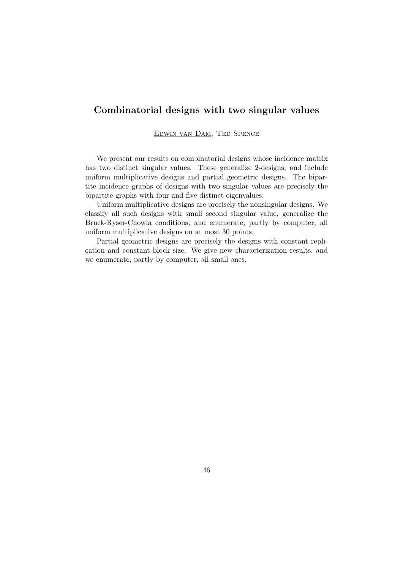### Combinatorial designs with two singular values

Edwin van Dam, Ted Spence

We present our results on combinatorial designs whose incidence matrix has two distinct singular values. These generalize 2-designs, and include uniform multiplicative designs and partial geometric designs. The bipartite incidence graphs of designs with two singular values are precisely the bipartite graphs with four and five distinct eigenvalues.

Uniform multiplicative designs are precisely the nonsingular designs. We classify all such designs with small second singular value, generalize the Bruck-Ryser-Chowla conditions, and enumerate, partly by computer, all uniform multiplicative designs on at most 30 points.

Partial geometric designs are precisely the designs with constant replication and constant block size. We give new characterization results, and we enumerate, partly by computer, all small ones.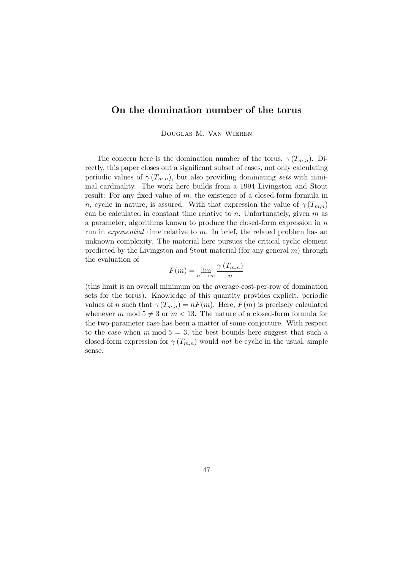### On the domination number of the torus

Douglas M. Van Wieren

The concern here is the domination number of the torus,  $\gamma(T_{m,n})$ . Directly, this paper closes out a significant subset of cases, not only calculating periodic values of  $\gamma(T_{m,n})$ , but also providing dominating sets with minimal cardinality. The work here builds from a 1994 Livingston and Stout result: For any fixed value of m, the existence of a closed-form formula in n, cyclic in nature, is assured. With that expression the value of  $\gamma(T_{m,n})$ can be calculated in constant time relative to  $n$ . Unfortunately, given  $m$  as a parameter, algorithms known to produce the closed-form expression in n run in exponential time relative to  $m$ . In brief, the related problem has an unknown complexity. The material here pursues the critical cyclic element predicted by the Livingston and Stout material (for any general  $m$ ) through the evaluation of

$$
F(m) = \lim_{n \to \infty} \frac{\gamma(T_{m,n})}{n}
$$

(this limit is an overall minimum on the average-cost-per-row of domination sets for the torus). Knowledge of this quantity provides explicit, periodic values of n such that  $\gamma(T_{m,n}) = nF(m)$ . Here,  $F(m)$  is precisely calculated whenever m mod  $5 \neq 3$  or  $m < 13$ . The nature of a closed-form formula for the two-parameter case has been a matter of some conjecture. With respect to the case when m mod  $5 = 3$ , the best bounds here suggest that such a closed-form expression for  $\gamma(T_{m,n})$  would not be cyclic in the usual, simple sense.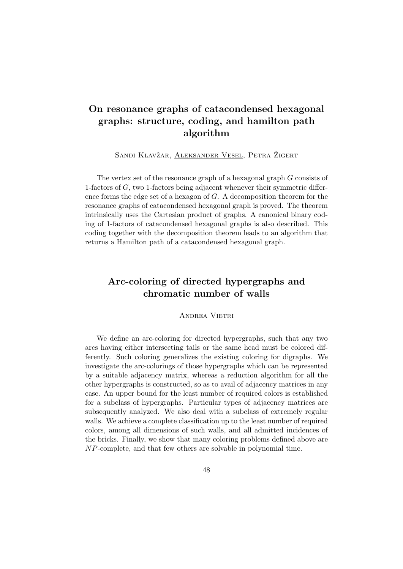## On resonance graphs of catacondensed hexagonal graphs: structure, coding, and hamilton path algorithm

SANDI KLAVŽAR, ALEKSANDER VESEL, PETRA ŽIGERT

The vertex set of the resonance graph of a hexagonal graph G consists of 1-factors of G, two 1-factors being adjacent whenever their symmetric difference forms the edge set of a hexagon of G. A decomposition theorem for the resonance graphs of catacondensed hexagonal graph is proved. The theorem intrinsically uses the Cartesian product of graphs. A canonical binary coding of 1-factors of catacondensed hexagonal graphs is also described. This coding together with the decomposition theorem leads to an algorithm that returns a Hamilton path of a catacondensed hexagonal graph.

## Arc-coloring of directed hypergraphs and chromatic number of walls

Andrea Vietri

We define an arc-coloring for directed hypergraphs, such that any two arcs having either intersecting tails or the same head must be colored differently. Such coloring generalizes the existing coloring for digraphs. We investigate the arc-colorings of those hypergraphs which can be represented by a suitable adjacency matrix, whereas a reduction algorithm for all the other hypergraphs is constructed, so as to avail of adjacency matrices in any case. An upper bound for the least number of required colors is established for a subclass of hypergraphs. Particular types of adjacency matrices are subsequently analyzed. We also deal with a subclass of extremely regular walls. We achieve a complete classification up to the least number of required colors, among all dimensions of such walls, and all admitted incidences of the bricks. Finally, we show that many coloring problems defined above are NP-complete, and that few others are solvable in polynomial time.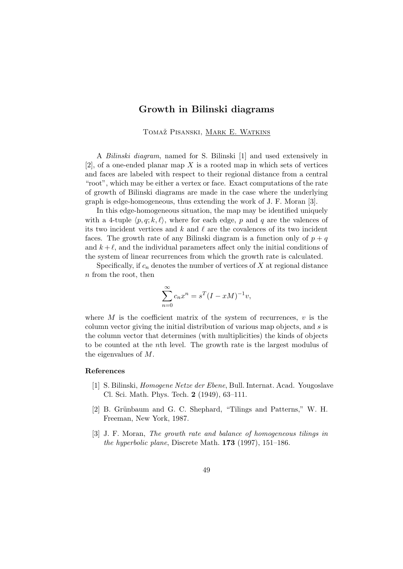#### Growth in Bilinski diagrams

TOMAŽ PISANSKI, MARK E. WATKINS

A Bilinski diagram, named for S. Bilinski [1] and used extensively in  $[2]$ , of a one-ended planar map X is a rooted map in which sets of vertices and faces are labeled with respect to their regional distance from a central "root", which may be either a vertex or face. Exact computations of the rate of growth of Bilinski diagrams are made in the case where the underlying graph is edge-homogeneous, thus extending the work of J. F. Moran [3].

In this edge-homogeneous situation, the map may be identified uniquely with a 4-tuple  $\langle p, q; k, \ell \rangle$ , where for each edge, p and q are the valences of its two incident vertices and k and  $\ell$  are the covalences of its two incident faces. The growth rate of any Bilinski diagram is a function only of  $p + q$ and  $k + \ell$ , and the individual parameters affect only the initial conditions of the system of linear recurrences from which the growth rate is calculated.

Specifically, if  $c_n$  denotes the number of vertices of X at regional distance n from the root, then

$$
\sum_{n=0}^{\infty} c_n x^n = s^T (I - xM)^{-1} v,
$$

where  $M$  is the coefficient matrix of the system of recurrences,  $v$  is the column vector giving the initial distribution of various map objects, and s is the column vector that determines (with multiplicities) the kinds of objects to be counted at the nth level. The growth rate is the largest modulus of the eigenvalues of M.

#### References

- [1] S. Bilinski, Homogene Netze der Ebene, Bull. Internat. Acad. Yougoslave Cl. Sci. Math. Phys. Tech. 2 (1949), 63–111.
- [2] B. Grünbaum and G. C. Shephard, "Tilings and Patterns," W. H. Freeman, New York, 1987.
- [3] J. F. Moran, *The growth rate and balance of homogeneous tilings in* the hyperbolic plane, Discrete Math. 173 (1997), 151–186.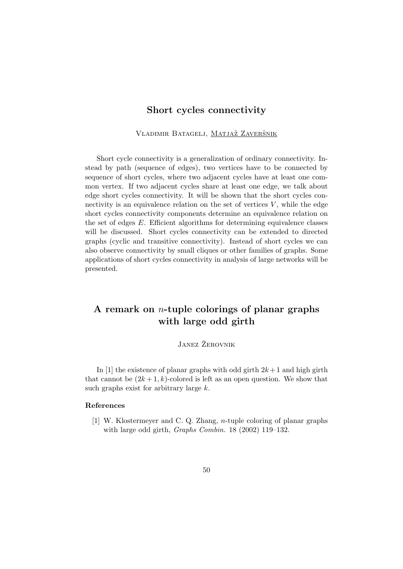#### Short cycles connectivity

VLADIMIR BATAGELJ, MATJAŽ ZAVERŠNIK

Short cycle connectivity is a generalization of ordinary connectivity. Instead by path (sequence of edges), two vertices have to be connected by sequence of short cycles, where two adjacent cycles have at least one common vertex. If two adjacent cycles share at least one edge, we talk about edge short cycles connectivity. It will be shown that the short cycles connectivity is an equivalence relation on the set of vertices  $V$ , while the edge short cycles connectivity components determine an equivalence relation on the set of edges  $E$ . Efficient algorithms for determining equivalence classes will be discussed. Short cycles connectivity can be extended to directed graphs (cyclic and transitive connectivity). Instead of short cycles we can also observe connectivity by small cliques or other families of graphs. Some applications of short cycles connectivity in analysis of large networks will be presented.

## A remark on n-tuple colorings of planar graphs with large odd girth

### JANEZ ŽEROVNIK

In [1] the existence of planar graphs with odd girth  $2k+1$  and high girth that cannot be  $(2k+1, k)$ -colored is left as an open question. We show that such graphs exist for arbitrary large k.

#### References

[1] W. Klostermeyer and C. Q. Zhang, n-tuple coloring of planar graphs with large odd girth, *Graphs Combin.* 18 (2002) 119–132.